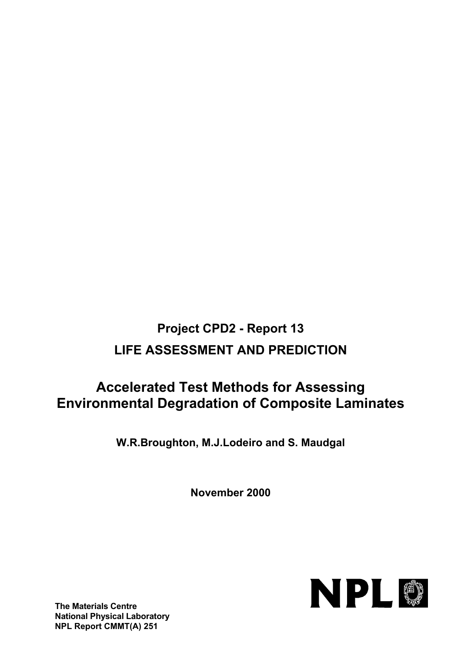# **Project CPD2 - Report 13 LIFE ASSESSMENT AND PREDICTION**

# **Accelerated Test Methods for Assessing Environmental Degradation of Composite Laminates**

**W.R.Broughton, M.J.Lodeiro and S. Maudgal**

**November 2000**

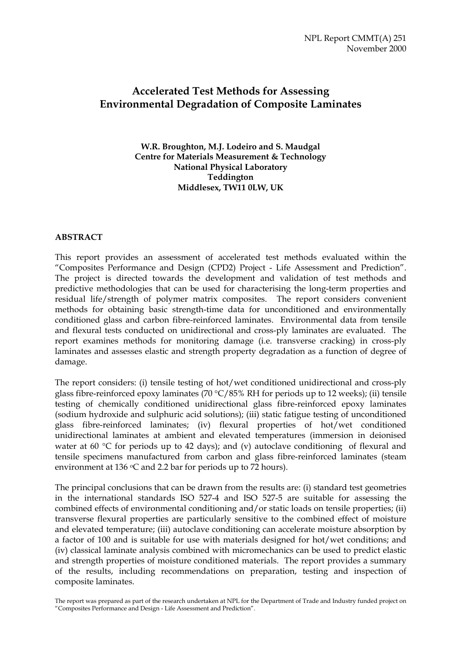# **Accelerated Test Methods for Assessing Environmental Degradation of Composite Laminates**

**W.R. Broughton, M.J. Lodeiro and S. Maudgal Centre for Materials Measurement & Technology National Physical Laboratory Teddington Middlesex, TW11 0LW, UK**

## **ABSTRACT**

This report provides an assessment of accelerated test methods evaluated within the "Composites Performance and Design (CPD2) Project - Life Assessment and Prediction". The project is directed towards the development and validation of test methods and predictive methodologies that can be used for characterising the long-term properties and residual life/strength of polymer matrix composites. The report considers convenient methods for obtaining basic strength-time data for unconditioned and environmentally conditioned glass and carbon fibre-reinforced laminates. Environmental data from tensile and flexural tests conducted on unidirectional and cross-ply laminates are evaluated. The report examines methods for monitoring damage (i.e. transverse cracking) in cross-ply laminates and assesses elastic and strength property degradation as a function of degree of damage.

The report considers: (i) tensile testing of hot/wet conditioned unidirectional and cross-ply glass fibre-reinforced epoxy laminates (70 °C/85% RH for periods up to 12 weeks); (ii) tensile testing of chemically conditioned unidirectional glass fibre-reinforced epoxy laminates (sodium hydroxide and sulphuric acid solutions); (iii) static fatigue testing of unconditioned glass fibre-reinforced laminates; (iv) flexural properties of hot/wet conditioned unidirectional laminates at ambient and elevated temperatures (immersion in deionised water at 60 °C for periods up to 42 days); and (v) autoclave conditioning of flexural and tensile specimens manufactured from carbon and glass fibre-reinforced laminates (steam environment at 136  $\circ$ C and 2.2 bar for periods up to 72 hours).

The principal conclusions that can be drawn from the results are: (i) standard test geometries in the international standards ISO 527-4 and ISO 527-5 are suitable for assessing the combined effects of environmental conditioning and/or static loads on tensile properties; (ii) transverse flexural properties are particularly sensitive to the combined effect of moisture and elevated temperature; (iii) autoclave conditioning can accelerate moisture absorption by a factor of 100 and is suitable for use with materials designed for hot/wet conditions; and (iv) classical laminate analysis combined with micromechanics can be used to predict elastic and strength properties of moisture conditioned materials. The report provides a summary of the results, including recommendations on preparation, testing and inspection of composite laminates.

The report was prepared as part of the research undertaken at NPL for the Department of Trade and Industry funded project on "Composites Performance and Design - Life Assessment and Prediction".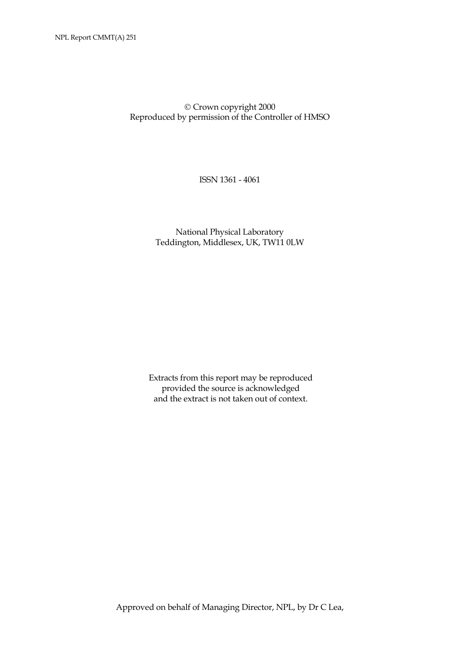Crown copyright 2000 Reproduced by permission of the Controller of HMSO

ISSN 1361 - 4061

 National Physical Laboratory Teddington, Middlesex, UK, TW11 0LW

Extracts from this report may be reproduced provided the source is acknowledged and the extract is not taken out of context.

Approved on behalf of Managing Director, NPL, by Dr C Lea,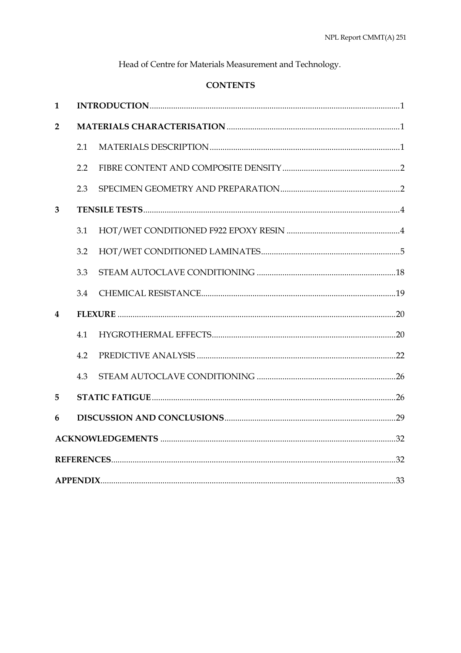Head of Centre for Materials Measurement and Technology.

# **CONTENTS**

| $\mathbf{1}$   |     |  |
|----------------|-----|--|
| $\overline{2}$ |     |  |
|                | 2.1 |  |
|                | 2.2 |  |
|                | 2.3 |  |
| 3              |     |  |
|                | 3.1 |  |
|                | 3.2 |  |
|                | 3.3 |  |
|                | 3.4 |  |
| 4              |     |  |
|                | 4.1 |  |
|                | 4.2 |  |
|                | 4.3 |  |
| 5              |     |  |
| 6              |     |  |
|                |     |  |
|                |     |  |
|                |     |  |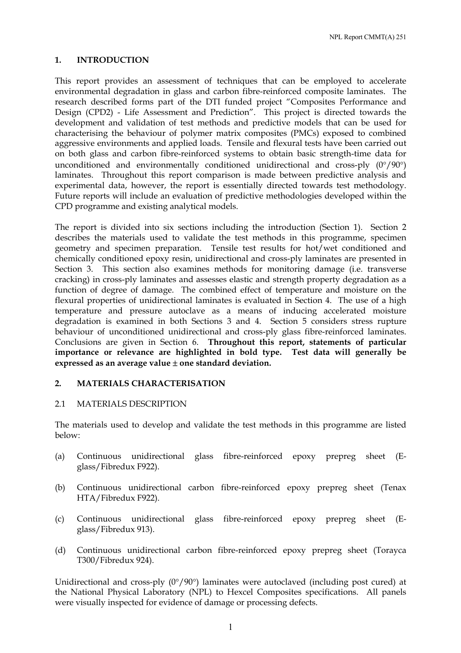NPL Report CMMT(A) 251

## **1. INTRODUCTION**

This report provides an assessment of techniques that can be employed to accelerate environmental degradation in glass and carbon fibre-reinforced composite laminates. The research described forms part of the DTI funded project "Composites Performance and Design (CPD2) - Life Assessment and Prediction". This project is directed towards the development and validation of test methods and predictive models that can be used for characterising the behaviour of polymer matrix composites (PMCs) exposed to combined aggressive environments and applied loads. Tensile and flexural tests have been carried out on both glass and carbon fibre-reinforced systems to obtain basic strength-time data for unconditioned and environmentally conditioned unidirectional and cross-ply (0°/90°) laminates. Throughout this report comparison is made between predictive analysis and experimental data, however, the report is essentially directed towards test methodology. Future reports will include an evaluation of predictive methodologies developed within the CPD programme and existing analytical models.

The report is divided into six sections including the introduction (Section 1). Section 2 describes the materials used to validate the test methods in this programme, specimen geometry and specimen preparation. Tensile test results for hot/wet conditioned and chemically conditioned epoxy resin, unidirectional and cross-ply laminates are presented in Section 3. This section also examines methods for monitoring damage (i.e. transverse cracking) in cross-ply laminates and assesses elastic and strength property degradation as a function of degree of damage. The combined effect of temperature and moisture on the flexural properties of unidirectional laminates is evaluated in Section 4. The use of a high temperature and pressure autoclave as a means of inducing accelerated moisture degradation is examined in both Sections 3 and 4. Section 5 considers stress rupture behaviour of unconditioned unidirectional and cross-ply glass fibre-reinforced laminates. Conclusions are given in Section 6. **Throughout this report, statements of particular importance or relevance are highlighted in bold type. Test data will generally be expressed as an average value** ± **one standard deviation.** 

## **2. MATERIALS CHARACTERISATION**

#### 2.1 MATERIALS DESCRIPTION

The materials used to develop and validate the test methods in this programme are listed below:

- (a) Continuous unidirectional glass fibre-reinforced epoxy prepreg sheet (Eglass/Fibredux F922).
- (b) Continuous unidirectional carbon fibre-reinforced epoxy prepreg sheet (Tenax HTA/Fibredux F922).
- (c) Continuous unidirectional glass fibre-reinforced epoxy prepreg sheet (Eglass/Fibredux 913).
- (d) Continuous unidirectional carbon fibre-reinforced epoxy prepreg sheet (Torayca T300/Fibredux 924).

Unidirectional and cross-ply (0°/90°) laminates were autoclaved (including post cured) at the National Physical Laboratory (NPL) to Hexcel Composites specifications. All panels were visually inspected for evidence of damage or processing defects.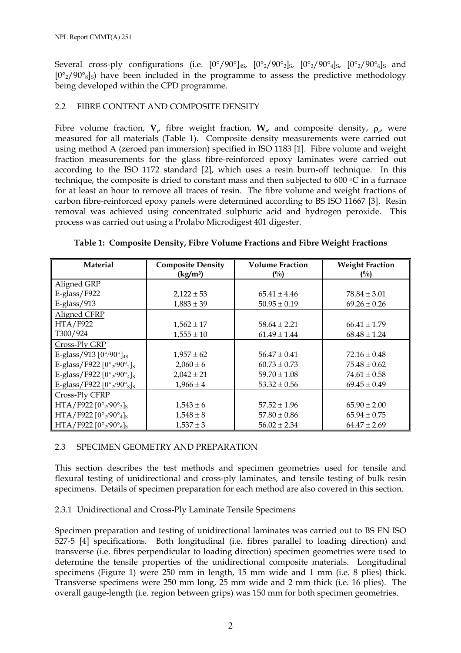Several cross-ply configurations (i.e.  $[0^{\circ}/90^{\circ}]_{45}$ ,  $[0^{\circ}/90^{\circ}]_{5}$ ,  $[0^{\circ}/90^{\circ}]_{5}$ ,  $[0^{\circ}/90^{\circ}]_{5}$  and  $[0^{\circ}2/90^{\circ}8]$ s) have been included in the programme to assess the predictive methodology being developed within the CPD programme.

## 2.2 FIBRE CONTENT AND COMPOSITE DENSITY

Fibre volume fraction,  $V_{f}$  fibre weight fraction,  $W_{f}$  and composite density,  $\rho_{f}$ , were measured for all materials (Table 1). Composite density measurements were carried out using method A (zeroed pan immersion) specified in ISO 1183 [1]. Fibre volume and weight fraction measurements for the glass fibre-reinforced epoxy laminates were carried out according to the ISO 1172 standard [2], which uses a resin burn-off technique. In this technique, the composite is dried to constant mass and then subjected to 600  $\degree$ C in a furnace for at least an hour to remove all traces of resin. The fibre volume and weight fractions of carbon fibre-reinforced epoxy panels were determined according to BS ISO 11667 [3]. Resin removal was achieved using concentrated sulphuric acid and hydrogen peroxide. This process was carried out using a Prolabo Microdigest 401 digester.

| <b>Material</b>                                                                     | <b>Composite Density</b> | <b>Volume Fraction</b> | <b>Weight Fraction</b> |
|-------------------------------------------------------------------------------------|--------------------------|------------------------|------------------------|
|                                                                                     | (kg/m <sup>3</sup> )     | $($ %)                 | $\binom{0}{0}$         |
| Aligned GRP                                                                         |                          |                        |                        |
| $E-glass/F922$                                                                      | $2,122 \pm 53$           | $65.41 \pm 4.46$       | $78.84 \pm 3.01$       |
| $E-glass/913$                                                                       | $1,883 \pm 39$           | $50.95 \pm 0.19$       | $69.26 \pm 0.26$       |
| Aligned CFRP                                                                        |                          |                        |                        |
| <b>HTA/F922</b>                                                                     | $1,562 \pm 17$           | $58.64 \pm 2.21$       | $66.41 \pm 1.79$       |
| T300/924                                                                            | $1,555 \pm 10$           | $61.49 \pm 1.44$       | $68.48 \pm 1.24$       |
| Cross-Ply GRP                                                                       |                          |                        |                        |
| E-glass/913 $[0^{\circ}/90^{\circ}]_{4S}$                                           | $1,957 \pm 62$           | $56.47 \pm 0.41$       | $72.16 \pm 0.48$       |
| E-glass/F922 $[0^{\circ}$ <sub>2</sub> /90 <sup>°</sup> <sub>2</sub> ] <sub>S</sub> | $2,060 \pm 6$            | $60.73 \pm 0.73$       | $75.48 \pm 0.62$       |
| E-glass/F922 $[0^{\circ}$ <sub>2</sub> /90 <sup>°</sup> <sub>4</sub> ] <sub>S</sub> | $2,042 \pm 21$           | $59.70 \pm 1.08$       | $74.61 \pm 0.58$       |
| E-glass/F922 $[0^{\circ}$ <sub>2</sub> /90 <sup>°</sup> <sub>8</sub> ] <sub>S</sub> | $1,966 \pm 4$            | $53.32 \pm 0.56$       | $69.45 \pm 0.49$       |
| Cross-Ply CFRP                                                                      |                          |                        |                        |
| $HTA/F922 [0°2/90°2]$ <sub>S</sub>                                                  | $1,543 \pm 6$            | $57.52 \pm 1.96$       | $65.90 \pm 2.00$       |
| $HTA/F922 [0°2/90°4]$ <sub>S</sub>                                                  | $1,548 \pm 8$            | $57.80 \pm 0.86$       | $65.94 \pm 0.75$       |
| $HTA/F922 [0°2/90°6]$                                                               | $1,537 \pm 3$            | $56.02 \pm 2.34$       | $64.47 \pm 2.69$       |

**Table 1: Composite Density, Fibre Volume Fractions and Fibre Weight Fractions**

## 2.3 SPECIMEN GEOMETRY AND PREPARATION

This section describes the test methods and specimen geometries used for tensile and flexural testing of unidirectional and cross-ply laminates, and tensile testing of bulk resin specimens. Details of specimen preparation for each method are also covered in this section.

2.3.1 Unidirectional and Cross-Ply Laminate Tensile Specimens

Specimen preparation and testing of unidirectional laminates was carried out to BS EN ISO 527-5 [4] specifications. Both longitudinal (i.e. fibres parallel to loading direction) and transverse (i.e. fibres perpendicular to loading direction) specimen geometries were used to determine the tensile properties of the unidirectional composite materials. Longitudinal specimens (Figure 1) were 250 mm in length, 15 mm wide and 1 mm (i.e. 8 plies) thick. Transverse specimens were 250 mm long, 25 mm wide and 2 mm thick (i.e. 16 plies). The overall gauge-length (i.e. region between grips) was 150 mm for both specimen geometries.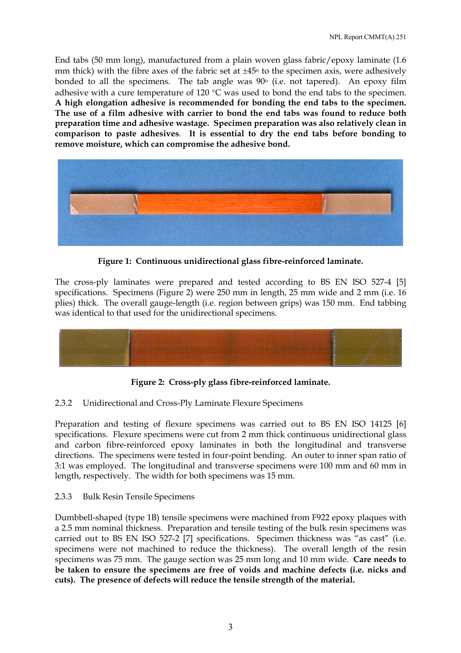End tabs (50 mm long), manufactured from a plain woven glass fabric/epoxy laminate (1.6 mm thick) with the fibre axes of the fabric set at  $\pm 45$ <sup>o</sup> to the specimen axis, were adhesively bonded to all the specimens. The tab angle was  $90^\circ$  (i.e. not tapered). An epoxy film adhesive with a cure temperature of 120 °C was used to bond the end tabs to the specimen. **A high elongation adhesive is recommended for bonding the end tabs to the specimen. The use of a film adhesive with carrier to bond the end tabs was found to reduce both preparation time and adhesive wastage. Specimen preparation was also relatively clean in comparison to paste adhesives**. **It is essential to dry the end tabs before bonding to remove moisture, which can compromise the adhesive bond.** 



**Figure 1: Continuous unidirectional glass fibre-reinforced laminate.** 

The cross-ply laminates were prepared and tested according to BS EN ISO 527-4 [5] specifications. Specimens (Figure 2) were 250 mm in length, 25 mm wide and 2 mm (i.e. 16 plies) thick. The overall gauge-length (i.e. region between grips) was 150 mm. End tabbing was identical to that used for the unidirectional specimens.



**Figure 2: Cross-ply glass fibre-reinforced laminate.** 

## 2.3.2 Unidirectional and Cross-Ply Laminate Flexure Specimens

Preparation and testing of flexure specimens was carried out to BS EN ISO 14125 [6] specifications. Flexure specimens were cut from 2 mm thick continuous unidirectional glass and carbon fibre-reinforced epoxy laminates in both the longitudinal and transverse directions. The specimens were tested in four-point bending. An outer to inner span ratio of 3:1 was employed. The longitudinal and transverse specimens were 100 mm and 60 mm in length, respectively. The width for both specimens was 15 mm.

## 2.3.3 Bulk Resin Tensile Specimens

Dumbbell-shaped (type 1B) tensile specimens were machined from F922 epoxy plaques with a 2.5 mm nominal thickness. Preparation and tensile testing of the bulk resin specimens was carried out to BS EN ISO 527-2 [7] specifications. Specimen thickness was "as cast" (i.e. specimens were not machined to reduce the thickness). The overall length of the resin specimens was 75 mm. The gauge section was 25 mm long and 10 mm wide. **Care needs to be taken to ensure the specimens are free of voids and machine defects (i.e. nicks and cuts). The presence of defects will reduce the tensile strength of the material.**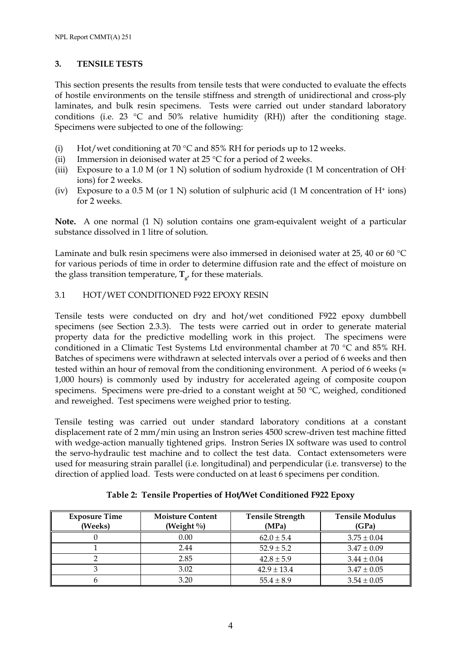## **3. TENSILE TESTS**

This section presents the results from tensile tests that were conducted to evaluate the effects of hostile environments on the tensile stiffness and strength of unidirectional and cross-ply laminates, and bulk resin specimens. Tests were carried out under standard laboratory conditions (i.e. 23 °C and 50% relative humidity (RH)) after the conditioning stage. Specimens were subjected to one of the following:

- (i) Hot/wet conditioning at 70  $\degree$ C and 85% RH for periods up to 12 weeks.
- (ii) Immersion in deionised water at 25  $\degree$ C for a period of 2 weeks.
- (iii) Exposure to a 1.0 M (or 1 N) solution of sodium hydroxide (1 M concentration of OHions) for 2 weeks.
- (iv) Exposure to a 0.5 M (or 1 N) solution of sulphuric acid (1 M concentration of  $H^+$  ions) for 2 weeks.

**Note.** A one normal (1 N) solution contains one gram-equivalent weight of a particular substance dissolved in 1 litre of solution.

Laminate and bulk resin specimens were also immersed in deionised water at 25, 40 or 60 °C for various periods of time in order to determine diffusion rate and the effect of moisture on the glass transition temperature,  $\mathbf{T}_{s}$ , for these materials.

## 3.1 HOT/WET CONDITIONED F922 EPOXY RESIN

Tensile tests were conducted on dry and hot/wet conditioned F922 epoxy dumbbell specimens (see Section 2.3.3). The tests were carried out in order to generate material property data for the predictive modelling work in this project. The specimens were conditioned in a Climatic Test Systems Ltd environmental chamber at 70 °C and 85% RH. Batches of specimens were withdrawn at selected intervals over a period of 6 weeks and then tested within an hour of removal from the conditioning environment. A period of 6 weeks ( $\approx$ 1,000 hours) is commonly used by industry for accelerated ageing of composite coupon specimens. Specimens were pre-dried to a constant weight at 50 °C, weighed, conditioned and reweighed. Test specimens were weighed prior to testing.

Tensile testing was carried out under standard laboratory conditions at a constant displacement rate of 2 mm/min using an Instron series 4500 screw-driven test machine fitted with wedge-action manually tightened grips. Instron Series IX software was used to control the servo-hydraulic test machine and to collect the test data. Contact extensometers were used for measuring strain parallel (i.e. longitudinal) and perpendicular (i.e. transverse) to the direction of applied load. Tests were conducted on at least 6 specimens per condition.

| <b>Exposure Time</b><br>(Weeks) | <b>Moisture Content</b><br>(Weight $\%$ ) | <b>Tensile Strength</b><br>(MPa) | <b>Tensile Modulus</b><br>(GPa) |
|---------------------------------|-------------------------------------------|----------------------------------|---------------------------------|
|                                 | 0.00                                      | $62.0 \pm 5.4$                   | $3.75 \pm 0.04$                 |
|                                 | 2.44                                      | $52.9 \pm 5.2$                   | $3.47 \pm 0.09$                 |
|                                 | 2.85                                      | $42.8 \pm 5.9$                   | $3.44 \pm 0.04$                 |
|                                 | 3.02                                      | $42.9 \pm 13.4$                  | $3.47 \pm 0.05$                 |
|                                 | 3.20                                      | $55.4 \pm 8.9$                   | $3.54 \pm 0.05$                 |

**Table 2: Tensile Properties of Hot/Wet Conditioned F922 Epoxy**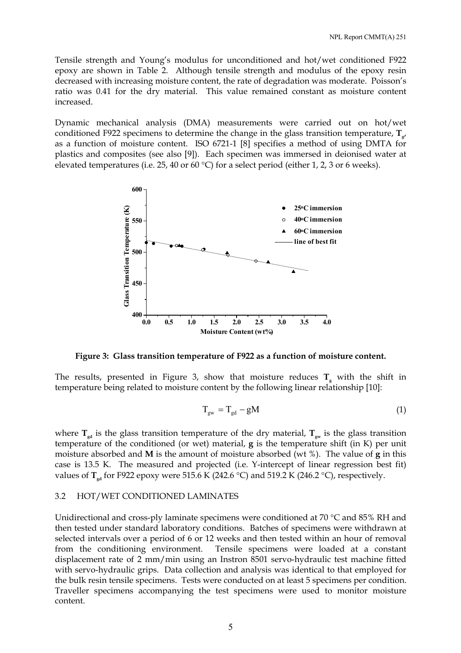Tensile strength and Young's modulus for unconditioned and hot/wet conditioned F922 epoxy are shown in Table 2. Although tensile strength and modulus of the epoxy resin decreased with increasing moisture content, the rate of degradation was moderate. Poisson's ratio was 0.41 for the dry material. This value remained constant as moisture content increased.

Dynamic mechanical analysis (DMA) measurements were carried out on hot/wet conditioned F922 specimens to determine the change in the glass transition temperature,  $\mathbf{T}_{s}$ , as a function of moisture content. ISO 6721-1 [8] specifies a method of using DMTA for plastics and composites (see also [9]). Each specimen was immersed in deionised water at elevated temperatures (i.e. 25, 40 or 60 °C) for a select period (either 1, 2, 3 or 6 weeks).



**Figure 3: Glass transition temperature of F922 as a function of moisture content.** 

The results, presented in Figure 3, show that moisture reduces  $T<sub>g</sub>$  with the shift in temperature being related to moisture content by the following linear relationship [10]:

$$
T_{gw} = T_{gd} - gM \tag{1}
$$

where  $T_{sd}$  is the glass transition temperature of the dry material,  $T_{gw}$  is the glass transition temperature of the conditioned (or wet) material, **g** is the temperature shift (in K) per unit moisture absorbed and **M** is the amount of moisture absorbed (wt %). The value of **g** in this case is 13.5 K. The measured and projected (i.e. Y-intercept of linear regression best fit) values of **T**<sub>*rd*</sub> for F922 epoxy were 515.6 K (242.6 °C) and 519.2 K (246.2 °C), respectively.

#### 3.2 HOT/WET CONDITIONED LAMINATES

Unidirectional and cross-ply laminate specimens were conditioned at 70 °C and 85% RH and then tested under standard laboratory conditions. Batches of specimens were withdrawn at selected intervals over a period of 6 or 12 weeks and then tested within an hour of removal from the conditioning environment. Tensile specimens were loaded at a constant displacement rate of 2 mm/min using an Instron 8501 servo-hydraulic test machine fitted with servo-hydraulic grips. Data collection and analysis was identical to that employed for the bulk resin tensile specimens. Tests were conducted on at least 5 specimens per condition. Traveller specimens accompanying the test specimens were used to monitor moisture content.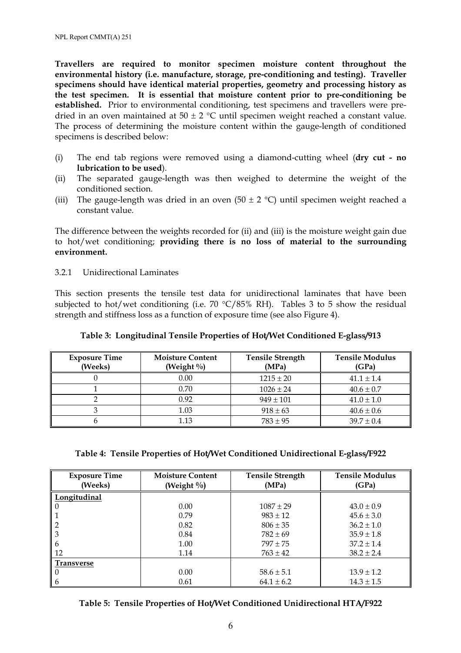**Travellers are required to monitor specimen moisture content throughout the environmental history (i.e. manufacture, storage, pre-conditioning and testing). Traveller specimens should have identical material properties, geometry and processing history as the test specimen. It is essential that moisture content prior to pre-conditioning be established.** Prior to environmental conditioning, test specimens and travellers were predried in an oven maintained at  $50 \pm 2$  °C until specimen weight reached a constant value. The process of determining the moisture content within the gauge-length of conditioned specimens is described below:

- (i) The end tab regions were removed using a diamond-cutting wheel (**dry cut - no lubrication to be used**).
- (ii) The separated gauge-length was then weighed to determine the weight of the conditioned section.
- (iii) The gauge-length was dried in an oven (50  $\pm$  2 °C) until specimen weight reached a constant value.

The difference between the weights recorded for (ii) and (iii) is the moisture weight gain due to hot/wet conditioning; **providing there is no loss of material to the surrounding environment.**

3.2.1 Unidirectional Laminates

This section presents the tensile test data for unidirectional laminates that have been subjected to hot/wet conditioning (i.e.  $70 °C/85\%$  RH). Tables 3 to 5 show the residual strength and stiffness loss as a function of exposure time (see also Figure 4).

| <b>Exposure Time</b><br>(Weeks) | <b>Moisture Content</b><br>(Weight $\%$ ) | <b>Tensile Strength</b><br>(MPa) | <b>Tensile Modulus</b><br>(GPa) |
|---------------------------------|-------------------------------------------|----------------------------------|---------------------------------|
|                                 | 0.00                                      | $1215 \pm 20$                    | $41.1 \pm 1.4$                  |
|                                 | 0.70                                      | $1026 \pm 24$                    | $40.6 \pm 0.7$                  |
|                                 | 0.92                                      | $949 \pm 101$                    | $41.0 \pm 1.0$                  |
|                                 | 1.03                                      | $918 \pm 63$                     | $40.6 \pm 0.6$                  |
|                                 | 1.13                                      | $783 \pm 95$                     | $39.7 \pm 0.4$                  |

## **Table 3: Longitudinal Tensile Properties of Hot/Wet Conditioned E-glass/913**

#### **Table 4: Tensile Properties of Hot/Wet Conditioned Unidirectional E-glass/F922**

| <b>Exposure Time</b><br>(Weeks) | <b>Moisture Content</b><br>(Weight $\%$ ) | <b>Tensile Strength</b><br>(MPa) | <b>Tensile Modulus</b><br>(GPa) |
|---------------------------------|-------------------------------------------|----------------------------------|---------------------------------|
|                                 |                                           |                                  |                                 |
| Longitudinal                    |                                           |                                  |                                 |
| $\theta$                        | 0.00                                      | $1087 \pm 29$                    | $43.0 \pm 0.9$                  |
|                                 | 0.79                                      | $983 \pm 12$                     | $45.6 \pm 3.0$                  |
|                                 | 0.82                                      | $806 \pm 35$                     | $36.2 \pm 1.0$                  |
| 3                               | 0.84                                      | $782 \pm 69$                     | $35.9 \pm 1.8$                  |
| 6                               | 1.00                                      | $797 + 75$                       | $37.2 \pm 1.4$                  |
| 12                              | 1.14                                      | $763 \pm 42$                     | $38.2 \pm 2.4$                  |
| Transverse                      |                                           |                                  |                                 |
| 0                               | 0.00                                      | $58.6 \pm 5.1$                   | $13.9 \pm 1.2$                  |
| 6                               | 0.61                                      | $64.1 \pm 6.2$                   | $14.3 \pm 1.5$                  |

|  |  | Table 5: Tensile Properties of Hot/Wet Conditioned Unidirectional HTA/F922 |
|--|--|----------------------------------------------------------------------------|
|  |  |                                                                            |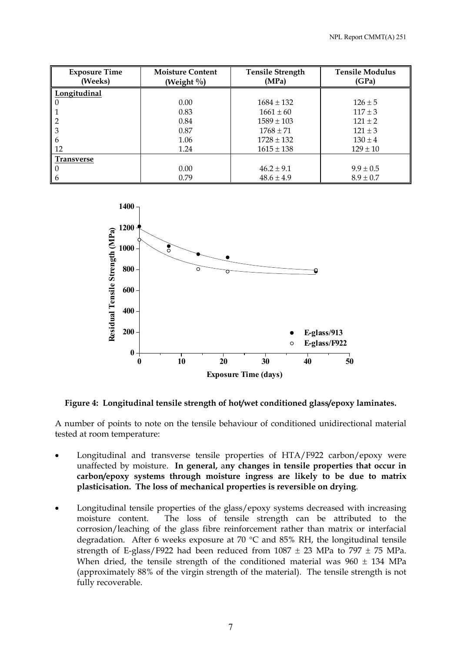| <b>Exposure Time</b> | <b>Moisture Content</b> | <b>Tensile Strength</b> | <b>Tensile Modulus</b> |
|----------------------|-------------------------|-------------------------|------------------------|
| (Weeks)              | (Weight $\%$ )          | (MPa)                   | (GPa)                  |
| Longitudinal         |                         |                         |                        |
|                      | 0.00                    | $1684 \pm 132$          | $126 \pm 5$            |
|                      | 0.83                    | $1661 \pm 60$           | $117 \pm 3$            |
|                      | 0.84                    | $1589 \pm 103$          | $121 + 2$              |
| 3                    | 0.87                    | $1768 \pm 71$           | $121 \pm 3$            |
| b                    | 1.06                    | $1728 \pm 132$          | $130 \pm 4$            |
| 12                   | 1.24                    | $1615 \pm 138$          | $129 \pm 10$           |
| <b>Transverse</b>    |                         |                         |                        |
|                      | 0.00                    | $46.2 \pm 9.1$          | $9.9 \pm 0.5$          |
| $\mathfrak b$        | 0.79                    | $48.6 \pm 4.9$          | $8.9 \pm 0.7$          |



#### **Figure 4: Longitudinal tensile strength of hot/wet conditioned glass/epoxy laminates.**

A number of points to note on the tensile behaviour of conditioned unidirectional material tested at room temperature:

- Longitudinal and transverse tensile properties of HTA/F922 carbon/epoxy were unaffected by moisture. **In general,** a**ny changes in tensile properties that occur in carbon/epoxy systems through moisture ingress are likely to be due to matrix plasticisation. The loss of mechanical properties is reversible on drying**.
- Longitudinal tensile properties of the glass/epoxy systems decreased with increasing moisture content. The loss of tensile strength can be attributed to the corrosion/leaching of the glass fibre reinforcement rather than matrix or interfacial degradation. After 6 weeks exposure at 70  $^{\circ}$ C and 85% RH, the longitudinal tensile strength of E-glass/F922 had been reduced from  $1087 \pm 23$  MPa to  $797 \pm 75$  MPa. When dried, the tensile strength of the conditioned material was  $960 \pm 134$  MPa (approximately 88% of the virgin strength of the material). The tensile strength is not fully recoverable.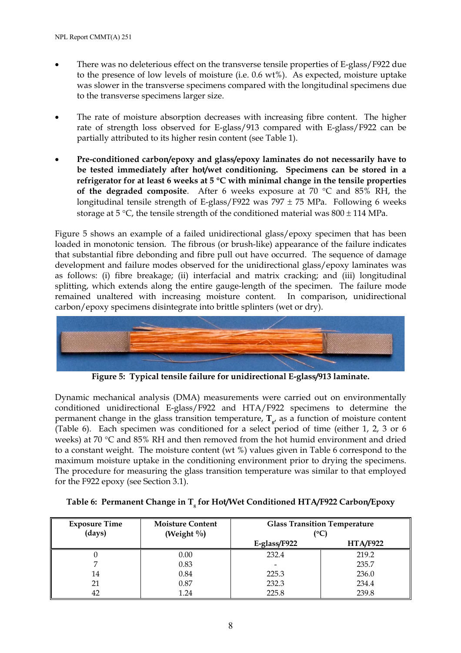- There was no deleterious effect on the transverse tensile properties of E-glass/F922 due to the presence of low levels of moisture (i.e. 0.6 wt%). As expected, moisture uptake was slower in the transverse specimens compared with the longitudinal specimens due to the transverse specimens larger size.
- The rate of moisture absorption decreases with increasing fibre content. The higher rate of strength loss observed for E-glass/913 compared with E-glass/F922 can be partially attributed to its higher resin content (see Table 1).
- **Pre-conditioned carbon/epoxy and glass/epoxy laminates do not necessarily have to be tested immediately after hot/wet conditioning. Specimens can be stored in a refrigerator for at least 6 weeks at 5** °**C with minimal change in the tensile properties of the degraded composite**. After 6 weeks exposure at 70 °C and 85% RH, the longitudinal tensile strength of E-glass/F922 was  $797 \pm 75$  MPa. Following 6 weeks storage at 5 °C, the tensile strength of the conditioned material was  $800 \pm 114$  MPa.

Figure 5 shows an example of a failed unidirectional glass/epoxy specimen that has been loaded in monotonic tension. The fibrous (or brush-like) appearance of the failure indicates that substantial fibre debonding and fibre pull out have occurred. The sequence of damage development and failure modes observed for the unidirectional glass/epoxy laminates was as follows: (i) fibre breakage; (ii) interfacial and matrix cracking; and (iii) longitudinal splitting, which extends along the entire gauge-length of the specimen. The failure mode remained unaltered with increasing moisture content. In comparison, unidirectional carbon/epoxy specimens disintegrate into brittle splinters (wet or dry).



**Figure 5: Typical tensile failure for unidirectional E-glass/913 laminate.** 

Dynamic mechanical analysis (DMA) measurements were carried out on environmentally conditioned unidirectional E-glass/F922 and HTA/F922 specimens to determine the permanent change in the glass transition temperature,  $T_{\nu}$  as a function of moisture content (Table 6). Each specimen was conditioned for a select period of time (either 1, 2, 3 or 6 weeks) at 70 °C and 85% RH and then removed from the hot humid environment and dried to a constant weight. The moisture content (wt %) values given in Table 6 correspond to the maximum moisture uptake in the conditioning environment prior to drying the specimens. The procedure for measuring the glass transition temperature was similar to that employed for the F922 epoxy (see Section 3.1).

| <b>Exposure Time</b><br>(days) | <b>Moisture Content</b><br>(Weight $\%$ ) | <b>Glass Transition Temperature</b><br>(°C) |                 |
|--------------------------------|-------------------------------------------|---------------------------------------------|-----------------|
|                                |                                           | E-glass/F922                                | <b>HTA/F922</b> |
|                                | 0.00                                      | 232.4                                       | 219.2           |
|                                | 0.83                                      |                                             | 235.7           |
| 14                             | 0.84                                      | 225.3                                       | 236.0           |
| 21                             | 0.87                                      | 232.3                                       | 234.4           |
| 42                             | 1.24                                      | 225.8                                       | 239.8           |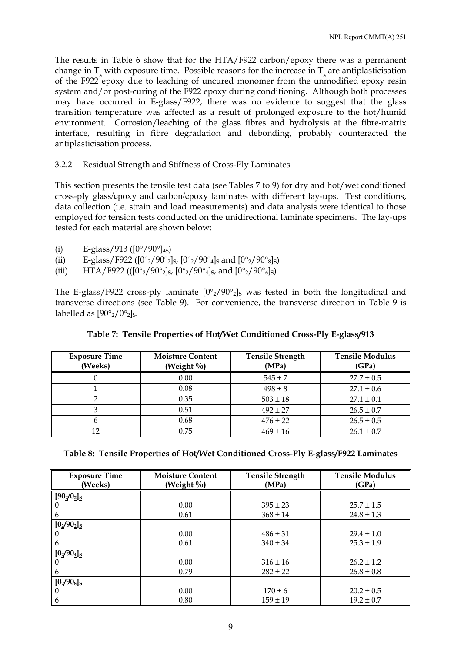The results in Table 6 show that for the HTA/F922 carbon/epoxy there was a permanent change in  $T_{g}$  with exposure time. Possible reasons for the increase in  $T_{g}$  are antiplasticisation of the F922 epoxy due to leaching of uncured monomer from the unmodified epoxy resin system and/or post-curing of the F922 epoxy during conditioning. Although both processes may have occurred in E-glass/F922, there was no evidence to suggest that the glass transition temperature was affected as a result of prolonged exposure to the hot/humid environment. Corrosion/leaching of the glass fibres and hydrolysis at the fibre-matrix interface, resulting in fibre degradation and debonding, probably counteracted the antiplasticisation process.

3.2.2 Residual Strength and Stiffness of Cross-Ply Laminates

This section presents the tensile test data (see Tables 7 to 9) for dry and hot/wet conditioned cross-ply glass/epoxy and carbon/epoxy laminates with different lay-ups. Test conditions, data collection (i.e. strain and load measurements) and data analysis were identical to those employed for tension tests conducted on the unidirectional laminate specimens. The lay-ups tested for each material are shown below:

- (i) E-glass/913 ( $[0^{\circ}/90^{\circ}]_{4S}$ )
- (ii) E-glass/F922 ( $[0^{\circ}_2/90^{\circ}_2]_S$ ,  $[0^{\circ}_2/90^{\circ}_4]_S$  and  $[0^{\circ}_2/90^{\circ}_8]_S$ )
- (iii) HTA/F922 (( $[0^{\circ}$ <sub>2</sub>/90<sup>°</sup><sub>2</sub>]<sub>S</sub>,  $[0^{\circ}$ <sub>2</sub>/90<sup>°</sup><sub>4</sub>]<sub>S</sub>, and  $[0^{\circ}$ <sub>2</sub>/90<sup>°</sup><sub>6</sub>]<sub>S</sub>)

The E-glass/F922 cross-ply laminate  $[0^{\circ}2/90^{\circ}2]$  was tested in both the longitudinal and transverse directions (see Table 9). For convenience, the transverse direction in Table 9 is labelled as  $[90^{\circ}_2/0^{\circ}_2]_S$ .

| <b>Exposure Time</b><br>(Weeks) | <b>Moisture Content</b><br>(Weight $\%$ ) | <b>Tensile Strength</b><br>(MPa) | <b>Tensile Modulus</b><br>(GPa) |
|---------------------------------|-------------------------------------------|----------------------------------|---------------------------------|
|                                 | 0.00                                      | $545 \pm 7$                      | $27.7 \pm 0.5$                  |
|                                 | 0.08                                      | $498 \pm 8$                      | $27.1 \pm 0.6$                  |
|                                 | 0.35                                      | $503 \pm 18$                     | $27.1 \pm 0.1$                  |
|                                 | 0.51                                      | $492 \pm 27$                     | $26.5 \pm 0.7$                  |
|                                 | 0.68                                      | $476 \pm 22$                     | $26.5 \pm 0.5$                  |
| 12                              | 0.75                                      | $469 \pm 16$                     | $26.1 \pm 0.7$                  |

**Table 7: Tensile Properties of Hot/Wet Conditioned Cross-Ply E-glass/913**

|  |  | Table 8: Tensile Properties of Hot/Wet Conditioned Cross-Ply E-glass/F922 Laminates |
|--|--|-------------------------------------------------------------------------------------|
|--|--|-------------------------------------------------------------------------------------|

| <b>Exposure Time</b> | <b>Moisture Content</b> | <b>Tensile Strength</b> | <b>Tensile Modulus</b> |
|----------------------|-------------------------|-------------------------|------------------------|
| (Weeks)              | (Weight $\%$ )          | (MPa)                   | (GPa)                  |
| $[90_2/0_2]$ s       |                         |                         |                        |
| 0                    | 0.00                    | $395 \pm 23$            | $25.7 \pm 1.5$         |
| 6                    | 0.61                    | $368 \pm 14$            | $24.8 \pm 1.3$         |
| $[02/902]$ s         |                         |                         |                        |
| 0                    | 0.00                    | $486 \pm 31$            | $29.4 \pm 1.0$         |
| 6                    | 0.61                    | $340 \pm 34$            | $25.3 \pm 1.9$         |
| $[02/904]$ s         |                         |                         |                        |
| 0                    | 0.00                    | $316 \pm 16$            | $26.2 \pm 1.2$         |
| 6                    | 0.79                    | $282 \pm 22$            | $26.8 \pm 0.8$         |
| $[0.2/908]$ s        |                         |                         |                        |
| 0                    | 0.00                    | $170 \pm 6$             | $20.2 \pm 0.5$         |
| 6                    | 0.80                    | $159 \pm 19$            | $19.2 \pm 0.7$         |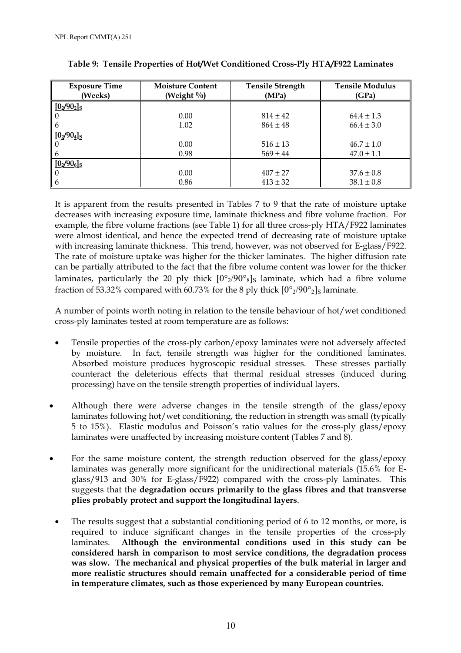| <b>Exposure Time</b> | <b>Moisture Content</b> |              | <b>Tensile Modulus</b> |
|----------------------|-------------------------|--------------|------------------------|
| (Weeks)              | (Weight $\%$ )          | (MPa)        | (GPa)                  |
| $[0_2/90_2]$ s       |                         |              |                        |
|                      | 0.00                    | $814 \pm 42$ | $64.4 \pm 1.3$         |
| 6                    | 1.02                    | $864 \pm 48$ | $66.4 \pm 3.0$         |
| $[0_2/90_4]$ s       |                         |              |                        |
|                      | 0.00                    | $516 \pm 13$ | $46.7 \pm 1.0$         |
| 6                    | 0.98                    | $569 \pm 44$ | $47.0 \pm 1.1$         |
| [0, 906]             |                         |              |                        |
|                      | 0.00                    | $407 \pm 27$ | $37.6 \pm 0.8$         |
| 6                    | 0.86                    | $413 \pm 32$ | $38.1 \pm 0.8$         |

| Table 9: Tensile Properties of Hot/Wet Conditioned Cross-Ply HTA/F922 Laminates |  |  |  |
|---------------------------------------------------------------------------------|--|--|--|
|                                                                                 |  |  |  |

It is apparent from the results presented in Tables 7 to 9 that the rate of moisture uptake decreases with increasing exposure time, laminate thickness and fibre volume fraction. For example, the fibre volume fractions (see Table 1) for all three cross-ply HTA/F922 laminates were almost identical, and hence the expected trend of decreasing rate of moisture uptake with increasing laminate thickness. This trend, however, was not observed for E-glass/F922. The rate of moisture uptake was higher for the thicker laminates. The higher diffusion rate can be partially attributed to the fact that the fibre volume content was lower for the thicker laminates, particularly the 20 ply thick  $[0^{\circ}2/90^{\circ}8]$ s laminate, which had a fibre volume fraction of 53.32% compared with 60.73% for the 8 ply thick  $[0^{\circ}$ <sub>2</sub>/90°<sub>2</sub>]<sub>S</sub> laminate.

A number of points worth noting in relation to the tensile behaviour of hot/wet conditioned cross-ply laminates tested at room temperature are as follows:

- Tensile properties of the cross-ply carbon/epoxy laminates were not adversely affected by moisture. In fact, tensile strength was higher for the conditioned laminates. Absorbed moisture produces hygroscopic residual stresses. These stresses partially counteract the deleterious effects that thermal residual stresses (induced during processing) have on the tensile strength properties of individual layers.
- Although there were adverse changes in the tensile strength of the glass/epoxy laminates following hot/wet conditioning, the reduction in strength was small (typically 5 to 15%). Elastic modulus and Poisson's ratio values for the cross-ply glass/epoxy laminates were unaffected by increasing moisture content (Tables 7 and 8).
- For the same moisture content, the strength reduction observed for the glass/epoxy laminates was generally more significant for the unidirectional materials (15.6% for Eglass/913 and 30% for E-glass/F922) compared with the cross-ply laminates. This suggests that the **degradation occurs primarily to the glass fibres and that transverse plies probably protect and support the longitudinal layers**.
- The results suggest that a substantial conditioning period of 6 to 12 months, or more, is required to induce significant changes in the tensile properties of the cross-ply laminates. **Although the environmental conditions used in this study can be considered harsh in comparison to most service conditions, the degradation process was slow. The mechanical and physical properties of the bulk material in larger and more realistic structures should remain unaffected for a considerable period of time in temperature climates, such as those experienced by many European countries.**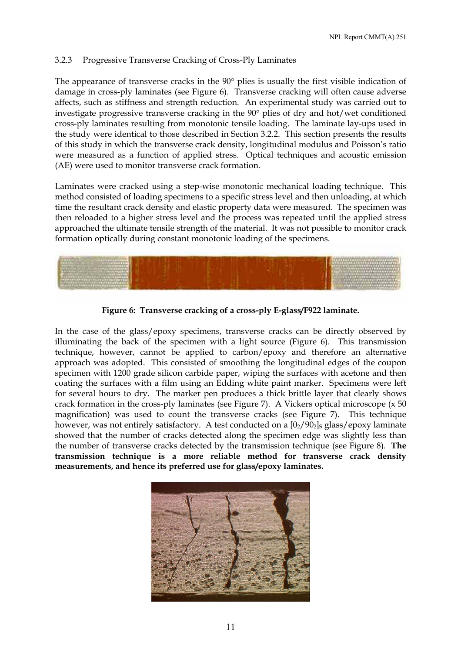## 3.2.3 Progressive Transverse Cracking of Cross-Ply Laminates

The appearance of transverse cracks in the 90° plies is usually the first visible indication of damage in cross-ply laminates (see Figure 6). Transverse cracking will often cause adverse affects, such as stiffness and strength reduction. An experimental study was carried out to investigate progressive transverse cracking in the 90° plies of dry and hot/wet conditioned cross-ply laminates resulting from monotonic tensile loading. The laminate lay-ups used in the study were identical to those described in Section 3.2.2. This section presents the results of this study in which the transverse crack density, longitudinal modulus and Poisson's ratio were measured as a function of applied stress. Optical techniques and acoustic emission (AE) were used to monitor transverse crack formation.

Laminates were cracked using a step-wise monotonic mechanical loading technique. This method consisted of loading specimens to a specific stress level and then unloading, at which time the resultant crack density and elastic property data were measured. The specimen was then reloaded to a higher stress level and the process was repeated until the applied stress approached the ultimate tensile strength of the material. It was not possible to monitor crack formation optically during constant monotonic loading of the specimens.



**Figure 6: Transverse cracking of a cross-ply E-glass/F922 laminate.** 

In the case of the glass/epoxy specimens, transverse cracks can be directly observed by illuminating the back of the specimen with a light source (Figure 6). This transmission technique, however, cannot be applied to carbon/epoxy and therefore an alternative approach was adopted. This consisted of smoothing the longitudinal edges of the coupon specimen with 1200 grade silicon carbide paper, wiping the surfaces with acetone and then coating the surfaces with a film using an Edding white paint marker. Specimens were left for several hours to dry. The marker pen produces a thick brittle layer that clearly shows crack formation in the cross-ply laminates (see Figure 7). A Vickers optical microscope (x 50 magnification) was used to count the transverse cracks (see Figure 7). This technique however, was not entirely satisfactory. A test conducted on a  $[0<sub>2</sub>/90<sub>2</sub>]$ s glass/epoxy laminate showed that the number of cracks detected along the specimen edge was slightly less than the number of transverse cracks detected by the transmission technique (see Figure 8). **The transmission technique is a more reliable method for transverse crack density measurements, and hence its preferred use for glass/epoxy laminates.** 

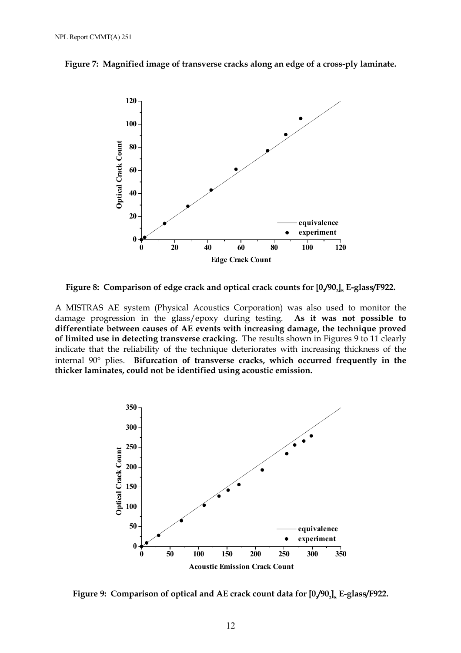



Figure 8: Comparison of edge crack and optical crack counts for [0,/90,], E-glass/F922.

A MISTRAS AE system (Physical Acoustics Corporation) was also used to monitor the damage progression in the glass/epoxy during testing. **As it was not possible to differentiate between causes of AE events with increasing damage, the technique proved of limited use in detecting transverse cracking.** The results shown in Figures 9 to 11 clearly indicate that the reliability of the technique deteriorates with increasing thickness of the internal 90° plies. **Bifurcation of transverse cracks, which occurred frequently in the thicker laminates, could not be identified using acoustic emission.** 



Figure 9: Comparison of optical and AE crack count data for [0,/90<sub>2</sub>]<sub>s</sub> E-glass/F922.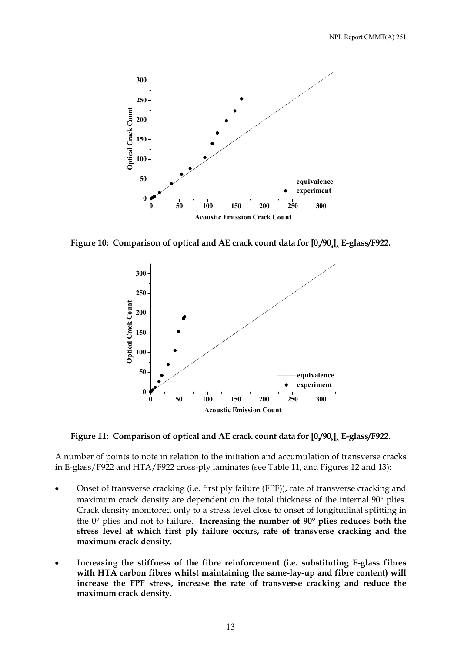

Figure 10: Comparison of optical and AE crack count data for [0,/90<sub>4]s</sub> E-glass/F922.



Figure 11: Comparison of optical and AE crack count data for [0,/90<sub>8</sub>]<sub>s</sub> E-glass/F922.

A number of points to note in relation to the initiation and accumulation of transverse cracks in E-glass/F922 and HTA/F922 cross-ply laminates (see Table 11, and Figures 12 and 13):

- Onset of transverse cracking (i.e. first ply failure (FPF)), rate of transverse cracking and maximum crack density are dependent on the total thickness of the internal 90° plies. Crack density monitored only to a stress level close to onset of longitudinal splitting in the 0° plies and not to failure. **Increasing the number of 90**° **plies reduces both the stress level at which first ply failure occurs, rate of transverse cracking and the maximum crack density.**
- **Increasing the stiffness of the fibre reinforcement (i.e. substituting E-glass fibres with HTA carbon fibres whilst maintaining the same-lay-up and fibre content) will increase the FPF stress, increase the rate of transverse cracking and reduce the maximum crack density.**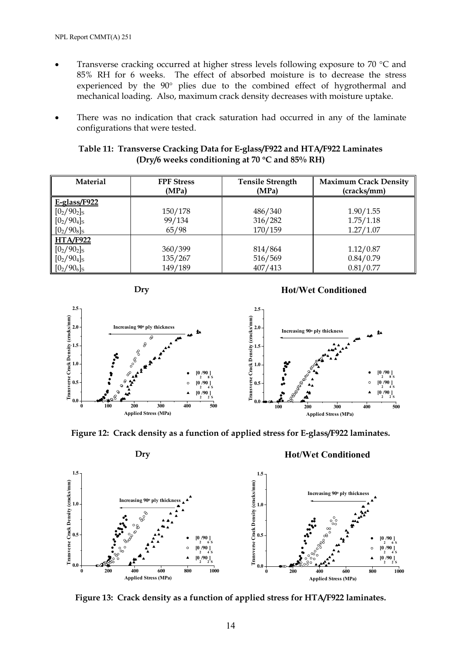- Transverse cracking occurred at higher stress levels following exposure to 70 °C and 85% RH for 6 weeks. The effect of absorbed moisture is to decrease the stress experienced by the 90° plies due to the combined effect of hygrothermal and mechanical loading. Also, maximum crack density decreases with moisture uptake.
- There was no indication that crack saturation had occurred in any of the laminate configurations that were tested.

| Table 11: Transverse Cracking Data for E-glass/F922 and HTA/F922 Laminates |  |
|----------------------------------------------------------------------------|--|
| (Dry/6 weeks conditioning at 70 $\rm{^{\circ}C}$ and 85% RH)               |  |

| <b>Material</b> | <b>FPF Stress</b><br>(MPa) | <b>Tensile Strength</b><br>(MPa) | <b>Maximum Crack Density</b><br>(cracks/mm) |
|-----------------|----------------------------|----------------------------------|---------------------------------------------|
| $E-glass/F922$  |                            |                                  |                                             |
| $[0_2/90_2]$ s  | 150/178                    | 486/340                          | 1.90/1.55                                   |
| $[0_2/90_4]$ s  | 99/134                     | 316/282                          | 1.75/1.18                                   |
| $[0_2/90_8]$ s  | 65/98                      | 170/159                          | 1.27/1.07                                   |
| <b>HTA/F922</b> |                            |                                  |                                             |
| $[0_2/90_2]$ s  | 360/399                    | 814/864                          | 1.12/0.87                                   |
| $[0_2/90_4]$ s  | 135/267                    | 516/569                          | 0.84/0.79                                   |
| $[0_2/90_6]$ s  | 149/189                    | 407/413                          | 0.81/0.77                                   |



## **Hot/Wet Conditioned**







**Figure 13: Crack density as a function of applied stress for HTA/F922 laminates.**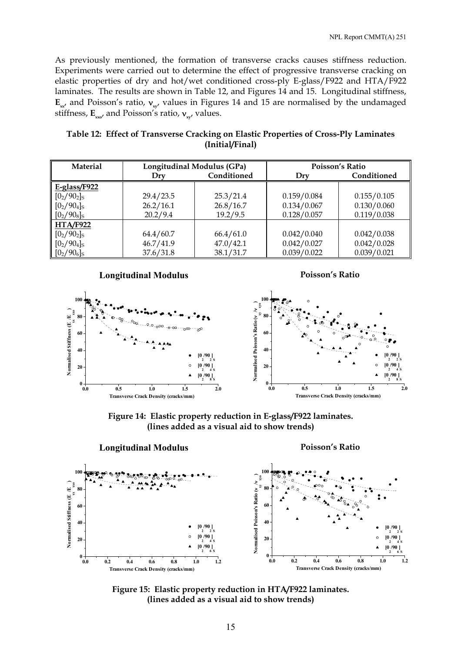As previously mentioned, the formation of transverse cracks causes stiffness reduction. Experiments were carried out to determine the effect of progressive transverse cracking on elastic properties of dry and hot/wet conditioned cross-ply E-glass/F922 and HTA/F922 laminates. The results are shown in Table 12, and Figures 14 and 15. Longitudinal stiffness,  $\mathbf{E}_{\mathbf{x}x}$  and Poisson's ratio,  $\mathbf{v}_{\mathbf{x}y}$  values in Figures 14 and 15 are normalised by the undamaged stiffness, **E**<sub>*xxo'*</sub> and Poisson's ratio, **ν**<sub>*xv*</sub></sub>, values.

| Table 12: Effect of Transverse Cracking on Elastic Properties of Cross-Ply Laminates |
|--------------------------------------------------------------------------------------|
| (Initial/Final)                                                                      |

| <b>Material</b> | Longitudinal Modulus (GPa) |             | Poisson's Ratio |             |
|-----------------|----------------------------|-------------|-----------------|-------------|
|                 | Drv                        | Conditioned | Dry             | Conditioned |
| $E-glass/F922$  |                            |             |                 |             |
| $[0_2/90_2]$ s  | 29.4/23.5                  | 25.3/21.4   | 0.159/0.084     | 0.155/0.105 |
| $[0_2/90_4]$ s  | 26.2/16.1                  | 26.8/16.7   | 0.134/0.067     | 0.130/0.060 |
| $[0_2/90_8]$ s  | 20.2/9.4                   | 19.2/9.5    | 0.128/0.057     | 0.119/0.038 |
| HTA/F922        |                            |             |                 |             |
| $[0_2/90_2]$ s  | 64.4/60.7                  | 66.4/61.0   | 0.042/0.040     | 0.042/0.038 |
| $[0_2/90_4]$ s  | 46.7/41.9                  | 47.0 / 42.1 | 0.042/0.027     | 0.042/0.028 |
| $[0_2/90_6]$ s  | 37.6 / 31.8                | 38.1/31.7   | 0.039/0.022     | 0.039/0.021 |







**Figure 14: Elastic property reduction in E-glass/F922 laminates. (lines added as a visual aid to show trends)** 



**Figure 15: Elastic property reduction in HTA/F922 laminates. (lines added as a visual aid to show trends)**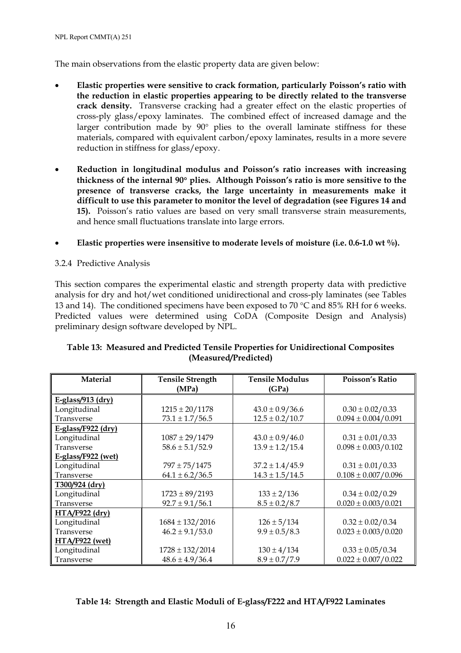NPL Report CMMT(A) 251

The main observations from the elastic property data are given below:

- **Elastic properties were sensitive to crack formation, particularly Poisson's ratio with the reduction in elastic properties appearing to be directly related to the transverse crack density.** Transverse cracking had a greater effect on the elastic properties of cross-ply glass/epoxy laminates. The combined effect of increased damage and the larger contribution made by 90° plies to the overall laminate stiffness for these materials, compared with equivalent carbon/epoxy laminates, results in a more severe reduction in stiffness for glass/epoxy.
- **Reduction in longitudinal modulus and Poisson's ratio increases with increasing thickness of the internal 90**° **plies. Although Poisson's ratio is more sensitive to the presence of transverse cracks, the large uncertainty in measurements make it difficult to use this parameter to monitor the level of degradation (see Figures 14 and 15).** Poisson's ratio values are based on very small transverse strain measurements, and hence small fluctuations translate into large errors.
- **Elastic properties were insensitive to moderate levels of moisture (i.e. 0.6-1.0 wt %).**
- 3.2.4 Predictive Analysis

This section compares the experimental elastic and strength property data with predictive analysis for dry and hot/wet conditioned unidirectional and cross-ply laminates (see Tables 13 and 14). The conditioned specimens have been exposed to 70  $\degree$ C and 85% RH for 6 weeks. Predicted values were determined using CoDA (Composite Design and Analysis) preliminary design software developed by NPL.

| <b>Material</b>       | <b>Tensile Strength</b> | <b>Tensile Modulus</b> | Poisson's Ratio           |
|-----------------------|-------------------------|------------------------|---------------------------|
|                       | (MPa)                   | (GPa)                  |                           |
| E-glass/913 $(dry)$   |                         |                        |                           |
| Longitudinal          | $1215 \pm 20/1178$      | $43.0 \pm 0.9/36.6$    | $0.30 \pm 0.02 / 0.33$    |
| Transverse            | $73.1 \pm 1.7/56.5$     | $12.5 \pm 0.2 / 10.7$  | $0.094 \pm 0.004/0.091$   |
| $E-glass/F922 (dry)$  |                         |                        |                           |
| Longitudinal          | $1087 \pm 29/1479$      | $43.0 \pm 0.9/46.0$    | $0.31 \pm 0.01/0.33$      |
| Transverse            | $58.6 \pm 5.1/52.9$     | $13.9 \pm 1.2 / 15.4$  | $0.098 \pm 0.003 / 0.102$ |
| E-glass/F922 (wet)    |                         |                        |                           |
| Longitudinal          | $797 \pm 75/1475$       | $37.2 \pm 1.4/45.9$    | $0.31 \pm 0.01/0.33$      |
| Transverse            | $64.1 \pm 6.2 / 36.5$   | $14.3 \pm 1.5/14.5$    | $0.108 \pm 0.007/0.096$   |
| $T300/924$ (dry)      |                         |                        |                           |
| Longitudinal          | $1723 \pm 89/2193$      | $133 \pm 2/136$        | $0.34 \pm 0.02/0.29$      |
| Transverse            | $92.7 \pm 9.1/56.1$     | $8.5 \pm 0.2 / 8.7$    | $0.020 \pm 0.003/0.021$   |
| $HTA/F922$ (dry)      |                         |                        |                           |
| Longitudinal          | $1684 \pm 132/2016$     | $126 \pm 5/134$        | $0.32 \pm 0.02/0.34$      |
| Transverse            | $46.2 \pm 9.1/53.0$     | $9.9 \pm 0.5 / 8.3$    | $0.023 \pm 0.003/0.020$   |
| <b>HTA/F922</b> (wet) |                         |                        |                           |
| Longitudinal          | $1728 \pm 132/2014$     | $130 \pm 4/134$        | $0.33 \pm 0.05/0.34$      |
| Transverse            | $48.6 \pm 4.9/36.4$     | $8.9 \pm 0.7/7.9$      | $0.022 \pm 0.007/0.022$   |

## **Table 13: Measured and Predicted Tensile Properties for Unidirectional Composites (Measured/Predicted)**

## **Table 14: Strength and Elastic Moduli of E-glass/F222 and HTA/F922 Laminates**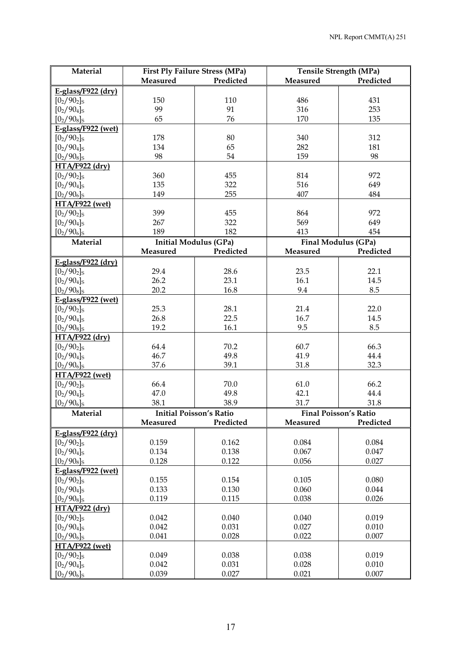| Measured<br>Predicted<br>Measured<br>Predicted<br>$E-glass/F922 (dry)$<br>$[0_2/90_2]$ s<br>150<br>110<br>486<br>431<br>99<br>91<br>316<br>253<br>$[0_2/90_4]$ s<br>65<br>76<br>135<br>$[0_2/90_8]$ s<br>170<br>E-glass/F922 (wet)<br>$[0_2/90_2]$ s<br>178<br>80<br>340<br>312<br>$[0_2/90_4]$ s<br>134<br>65<br>282<br>181<br>$[0_2/90_8]$ s<br>98<br>54<br>159<br>98<br>HTA/F922 (dry)<br>360<br>814<br>972<br>$[0_2/90_2]$ s<br>455<br>$[0_2/90_4]$ s<br>135<br>322<br>516<br>649<br>255<br>407<br>$[0_2/90_6]$ s<br>149<br>484<br><b>HTA/F922 (wet)</b><br>399<br>$[0_2/90_2]$ s<br>455<br>864<br>972<br>569<br>$[0_2/90_4]$ s<br>267<br>322<br>649<br>189<br>182<br>$[0_2/90_6]$ s<br>413<br>454<br>Material<br><b>Initial Modulus (GPa)</b><br>Final Modulus (GPa)<br>Measured<br>Predicted<br>Predicted<br>Measured<br>E-glass/F922 $(dry)$<br>$[0_2/90_2]$ s<br>29.4<br>28.6<br>23.5<br>22.1<br>26.2<br>23.1<br>16.1<br>14.5<br>$[0_2/90_4]$ s<br>16.8<br>20.2<br>9.4<br>8.5<br>$[0_2/90_8]$ s<br>E-glass/F922 (wet)<br>$[0_2/90_2]$ s<br>25.3<br>28.1<br>21.4<br>22.0<br>26.8<br>22.5<br>16.7<br>14.5<br>$[0_2/90_4]$ s<br>19.2<br>16.1<br>9.5<br>8.5<br>$[0_2/90_8]$ s<br>HTA/F922 (dry)<br>64.4<br>70.2<br>60.7<br>66.3<br>$[0_2/90_2]$ s<br>46.7<br>49.8<br>41.9<br>44.4<br>$[0_2/90_4]$ s<br>37.6<br>$[0_2/90_6]$ s<br>39.1<br>31.8<br>32.3<br>HTA/F922 (wet)<br>66.4<br>70.0<br>$[0_2/90_2]$ s<br>61.0<br>66.2<br>$[0_2/90_4]$ s<br>47.0<br>49.8<br>42.1<br>44.4<br>$[0_2/90_6]$ s<br>38.1<br>31.7<br>38.9<br>31.8<br><b>Initial Poisson's Ratio</b><br>Material<br>Final Poisson's Ratio<br>Predicted<br>Measured<br>Measured<br>Predicted<br>E-glass/F922 $(dry)$<br>0.159<br>0.162<br>0.084<br>0.084<br>$[0_2/90_2]$ s<br>0.134<br>0.138<br>0.067<br>0.047<br>$[0_2/90_4]$ s<br>0.128<br>0.122<br>0.056<br>0.027<br>$[0_2/90_8]$ s<br>E-glass/F922 (wet)<br>0.155<br>0.154<br>0.105<br>0.080<br>$[0_2/90_2]$ s<br>0.133<br>0.130<br>0.060<br>$[0_2/90_4]$ s<br>0.044<br>0.119<br>0.115<br>0.038<br>0.026<br>$[0_2/90_8]$ s<br>HTA/F922 (dry)<br>0.042<br>0.040<br>0.019<br>$[0_2/90_2]$ s<br>0.040<br>0.042<br>$[0_2/90_4]$ s<br>0.031<br>0.027<br>0.010<br>$[0_2/90_6]$ s<br>0.041<br>0.028<br>0.022<br>0.007<br>HTA/F922 (wet)<br>0.049<br>0.038<br>0.019<br>$[0_2/90_2]$ s<br>0.038<br>0.042<br>0.031<br>0.028<br>0.010<br>$[0_2/90_4]$ s<br>$[0_2/90_6]$ s<br>0.039<br>0.027<br>0.021<br>0.007 | Material | <b>First Ply Failure Stress (MPa)</b> |  | <b>Tensile Strength (MPa)</b> |  |  |  |
|----------------------------------------------------------------------------------------------------------------------------------------------------------------------------------------------------------------------------------------------------------------------------------------------------------------------------------------------------------------------------------------------------------------------------------------------------------------------------------------------------------------------------------------------------------------------------------------------------------------------------------------------------------------------------------------------------------------------------------------------------------------------------------------------------------------------------------------------------------------------------------------------------------------------------------------------------------------------------------------------------------------------------------------------------------------------------------------------------------------------------------------------------------------------------------------------------------------------------------------------------------------------------------------------------------------------------------------------------------------------------------------------------------------------------------------------------------------------------------------------------------------------------------------------------------------------------------------------------------------------------------------------------------------------------------------------------------------------------------------------------------------------------------------------------------------------------------------------------------------------------------------------------------------------------------------------------------------------------------------------------------------------------------------------------------------------------------------------------------------------------------------------------------------------------------------------------------------------------------------------------------------------------------------------------------------------------------------------------------------------------------------------------------------------|----------|---------------------------------------|--|-------------------------------|--|--|--|
|                                                                                                                                                                                                                                                                                                                                                                                                                                                                                                                                                                                                                                                                                                                                                                                                                                                                                                                                                                                                                                                                                                                                                                                                                                                                                                                                                                                                                                                                                                                                                                                                                                                                                                                                                                                                                                                                                                                                                                                                                                                                                                                                                                                                                                                                                                                                                                                                                      |          |                                       |  |                               |  |  |  |
|                                                                                                                                                                                                                                                                                                                                                                                                                                                                                                                                                                                                                                                                                                                                                                                                                                                                                                                                                                                                                                                                                                                                                                                                                                                                                                                                                                                                                                                                                                                                                                                                                                                                                                                                                                                                                                                                                                                                                                                                                                                                                                                                                                                                                                                                                                                                                                                                                      |          |                                       |  |                               |  |  |  |
|                                                                                                                                                                                                                                                                                                                                                                                                                                                                                                                                                                                                                                                                                                                                                                                                                                                                                                                                                                                                                                                                                                                                                                                                                                                                                                                                                                                                                                                                                                                                                                                                                                                                                                                                                                                                                                                                                                                                                                                                                                                                                                                                                                                                                                                                                                                                                                                                                      |          |                                       |  |                               |  |  |  |
|                                                                                                                                                                                                                                                                                                                                                                                                                                                                                                                                                                                                                                                                                                                                                                                                                                                                                                                                                                                                                                                                                                                                                                                                                                                                                                                                                                                                                                                                                                                                                                                                                                                                                                                                                                                                                                                                                                                                                                                                                                                                                                                                                                                                                                                                                                                                                                                                                      |          |                                       |  |                               |  |  |  |
|                                                                                                                                                                                                                                                                                                                                                                                                                                                                                                                                                                                                                                                                                                                                                                                                                                                                                                                                                                                                                                                                                                                                                                                                                                                                                                                                                                                                                                                                                                                                                                                                                                                                                                                                                                                                                                                                                                                                                                                                                                                                                                                                                                                                                                                                                                                                                                                                                      |          |                                       |  |                               |  |  |  |
|                                                                                                                                                                                                                                                                                                                                                                                                                                                                                                                                                                                                                                                                                                                                                                                                                                                                                                                                                                                                                                                                                                                                                                                                                                                                                                                                                                                                                                                                                                                                                                                                                                                                                                                                                                                                                                                                                                                                                                                                                                                                                                                                                                                                                                                                                                                                                                                                                      |          |                                       |  |                               |  |  |  |
|                                                                                                                                                                                                                                                                                                                                                                                                                                                                                                                                                                                                                                                                                                                                                                                                                                                                                                                                                                                                                                                                                                                                                                                                                                                                                                                                                                                                                                                                                                                                                                                                                                                                                                                                                                                                                                                                                                                                                                                                                                                                                                                                                                                                                                                                                                                                                                                                                      |          |                                       |  |                               |  |  |  |
|                                                                                                                                                                                                                                                                                                                                                                                                                                                                                                                                                                                                                                                                                                                                                                                                                                                                                                                                                                                                                                                                                                                                                                                                                                                                                                                                                                                                                                                                                                                                                                                                                                                                                                                                                                                                                                                                                                                                                                                                                                                                                                                                                                                                                                                                                                                                                                                                                      |          |                                       |  |                               |  |  |  |
|                                                                                                                                                                                                                                                                                                                                                                                                                                                                                                                                                                                                                                                                                                                                                                                                                                                                                                                                                                                                                                                                                                                                                                                                                                                                                                                                                                                                                                                                                                                                                                                                                                                                                                                                                                                                                                                                                                                                                                                                                                                                                                                                                                                                                                                                                                                                                                                                                      |          |                                       |  |                               |  |  |  |
|                                                                                                                                                                                                                                                                                                                                                                                                                                                                                                                                                                                                                                                                                                                                                                                                                                                                                                                                                                                                                                                                                                                                                                                                                                                                                                                                                                                                                                                                                                                                                                                                                                                                                                                                                                                                                                                                                                                                                                                                                                                                                                                                                                                                                                                                                                                                                                                                                      |          |                                       |  |                               |  |  |  |
|                                                                                                                                                                                                                                                                                                                                                                                                                                                                                                                                                                                                                                                                                                                                                                                                                                                                                                                                                                                                                                                                                                                                                                                                                                                                                                                                                                                                                                                                                                                                                                                                                                                                                                                                                                                                                                                                                                                                                                                                                                                                                                                                                                                                                                                                                                                                                                                                                      |          |                                       |  |                               |  |  |  |
|                                                                                                                                                                                                                                                                                                                                                                                                                                                                                                                                                                                                                                                                                                                                                                                                                                                                                                                                                                                                                                                                                                                                                                                                                                                                                                                                                                                                                                                                                                                                                                                                                                                                                                                                                                                                                                                                                                                                                                                                                                                                                                                                                                                                                                                                                                                                                                                                                      |          |                                       |  |                               |  |  |  |
|                                                                                                                                                                                                                                                                                                                                                                                                                                                                                                                                                                                                                                                                                                                                                                                                                                                                                                                                                                                                                                                                                                                                                                                                                                                                                                                                                                                                                                                                                                                                                                                                                                                                                                                                                                                                                                                                                                                                                                                                                                                                                                                                                                                                                                                                                                                                                                                                                      |          |                                       |  |                               |  |  |  |
|                                                                                                                                                                                                                                                                                                                                                                                                                                                                                                                                                                                                                                                                                                                                                                                                                                                                                                                                                                                                                                                                                                                                                                                                                                                                                                                                                                                                                                                                                                                                                                                                                                                                                                                                                                                                                                                                                                                                                                                                                                                                                                                                                                                                                                                                                                                                                                                                                      |          |                                       |  |                               |  |  |  |
|                                                                                                                                                                                                                                                                                                                                                                                                                                                                                                                                                                                                                                                                                                                                                                                                                                                                                                                                                                                                                                                                                                                                                                                                                                                                                                                                                                                                                                                                                                                                                                                                                                                                                                                                                                                                                                                                                                                                                                                                                                                                                                                                                                                                                                                                                                                                                                                                                      |          |                                       |  |                               |  |  |  |
|                                                                                                                                                                                                                                                                                                                                                                                                                                                                                                                                                                                                                                                                                                                                                                                                                                                                                                                                                                                                                                                                                                                                                                                                                                                                                                                                                                                                                                                                                                                                                                                                                                                                                                                                                                                                                                                                                                                                                                                                                                                                                                                                                                                                                                                                                                                                                                                                                      |          |                                       |  |                               |  |  |  |
|                                                                                                                                                                                                                                                                                                                                                                                                                                                                                                                                                                                                                                                                                                                                                                                                                                                                                                                                                                                                                                                                                                                                                                                                                                                                                                                                                                                                                                                                                                                                                                                                                                                                                                                                                                                                                                                                                                                                                                                                                                                                                                                                                                                                                                                                                                                                                                                                                      |          |                                       |  |                               |  |  |  |
|                                                                                                                                                                                                                                                                                                                                                                                                                                                                                                                                                                                                                                                                                                                                                                                                                                                                                                                                                                                                                                                                                                                                                                                                                                                                                                                                                                                                                                                                                                                                                                                                                                                                                                                                                                                                                                                                                                                                                                                                                                                                                                                                                                                                                                                                                                                                                                                                                      |          |                                       |  |                               |  |  |  |
|                                                                                                                                                                                                                                                                                                                                                                                                                                                                                                                                                                                                                                                                                                                                                                                                                                                                                                                                                                                                                                                                                                                                                                                                                                                                                                                                                                                                                                                                                                                                                                                                                                                                                                                                                                                                                                                                                                                                                                                                                                                                                                                                                                                                                                                                                                                                                                                                                      |          |                                       |  |                               |  |  |  |
|                                                                                                                                                                                                                                                                                                                                                                                                                                                                                                                                                                                                                                                                                                                                                                                                                                                                                                                                                                                                                                                                                                                                                                                                                                                                                                                                                                                                                                                                                                                                                                                                                                                                                                                                                                                                                                                                                                                                                                                                                                                                                                                                                                                                                                                                                                                                                                                                                      |          |                                       |  |                               |  |  |  |
|                                                                                                                                                                                                                                                                                                                                                                                                                                                                                                                                                                                                                                                                                                                                                                                                                                                                                                                                                                                                                                                                                                                                                                                                                                                                                                                                                                                                                                                                                                                                                                                                                                                                                                                                                                                                                                                                                                                                                                                                                                                                                                                                                                                                                                                                                                                                                                                                                      |          |                                       |  |                               |  |  |  |
|                                                                                                                                                                                                                                                                                                                                                                                                                                                                                                                                                                                                                                                                                                                                                                                                                                                                                                                                                                                                                                                                                                                                                                                                                                                                                                                                                                                                                                                                                                                                                                                                                                                                                                                                                                                                                                                                                                                                                                                                                                                                                                                                                                                                                                                                                                                                                                                                                      |          |                                       |  |                               |  |  |  |
|                                                                                                                                                                                                                                                                                                                                                                                                                                                                                                                                                                                                                                                                                                                                                                                                                                                                                                                                                                                                                                                                                                                                                                                                                                                                                                                                                                                                                                                                                                                                                                                                                                                                                                                                                                                                                                                                                                                                                                                                                                                                                                                                                                                                                                                                                                                                                                                                                      |          |                                       |  |                               |  |  |  |
|                                                                                                                                                                                                                                                                                                                                                                                                                                                                                                                                                                                                                                                                                                                                                                                                                                                                                                                                                                                                                                                                                                                                                                                                                                                                                                                                                                                                                                                                                                                                                                                                                                                                                                                                                                                                                                                                                                                                                                                                                                                                                                                                                                                                                                                                                                                                                                                                                      |          |                                       |  |                               |  |  |  |
|                                                                                                                                                                                                                                                                                                                                                                                                                                                                                                                                                                                                                                                                                                                                                                                                                                                                                                                                                                                                                                                                                                                                                                                                                                                                                                                                                                                                                                                                                                                                                                                                                                                                                                                                                                                                                                                                                                                                                                                                                                                                                                                                                                                                                                                                                                                                                                                                                      |          |                                       |  |                               |  |  |  |
|                                                                                                                                                                                                                                                                                                                                                                                                                                                                                                                                                                                                                                                                                                                                                                                                                                                                                                                                                                                                                                                                                                                                                                                                                                                                                                                                                                                                                                                                                                                                                                                                                                                                                                                                                                                                                                                                                                                                                                                                                                                                                                                                                                                                                                                                                                                                                                                                                      |          |                                       |  |                               |  |  |  |
|                                                                                                                                                                                                                                                                                                                                                                                                                                                                                                                                                                                                                                                                                                                                                                                                                                                                                                                                                                                                                                                                                                                                                                                                                                                                                                                                                                                                                                                                                                                                                                                                                                                                                                                                                                                                                                                                                                                                                                                                                                                                                                                                                                                                                                                                                                                                                                                                                      |          |                                       |  |                               |  |  |  |
|                                                                                                                                                                                                                                                                                                                                                                                                                                                                                                                                                                                                                                                                                                                                                                                                                                                                                                                                                                                                                                                                                                                                                                                                                                                                                                                                                                                                                                                                                                                                                                                                                                                                                                                                                                                                                                                                                                                                                                                                                                                                                                                                                                                                                                                                                                                                                                                                                      |          |                                       |  |                               |  |  |  |
|                                                                                                                                                                                                                                                                                                                                                                                                                                                                                                                                                                                                                                                                                                                                                                                                                                                                                                                                                                                                                                                                                                                                                                                                                                                                                                                                                                                                                                                                                                                                                                                                                                                                                                                                                                                                                                                                                                                                                                                                                                                                                                                                                                                                                                                                                                                                                                                                                      |          |                                       |  |                               |  |  |  |
|                                                                                                                                                                                                                                                                                                                                                                                                                                                                                                                                                                                                                                                                                                                                                                                                                                                                                                                                                                                                                                                                                                                                                                                                                                                                                                                                                                                                                                                                                                                                                                                                                                                                                                                                                                                                                                                                                                                                                                                                                                                                                                                                                                                                                                                                                                                                                                                                                      |          |                                       |  |                               |  |  |  |
|                                                                                                                                                                                                                                                                                                                                                                                                                                                                                                                                                                                                                                                                                                                                                                                                                                                                                                                                                                                                                                                                                                                                                                                                                                                                                                                                                                                                                                                                                                                                                                                                                                                                                                                                                                                                                                                                                                                                                                                                                                                                                                                                                                                                                                                                                                                                                                                                                      |          |                                       |  |                               |  |  |  |
|                                                                                                                                                                                                                                                                                                                                                                                                                                                                                                                                                                                                                                                                                                                                                                                                                                                                                                                                                                                                                                                                                                                                                                                                                                                                                                                                                                                                                                                                                                                                                                                                                                                                                                                                                                                                                                                                                                                                                                                                                                                                                                                                                                                                                                                                                                                                                                                                                      |          |                                       |  |                               |  |  |  |
|                                                                                                                                                                                                                                                                                                                                                                                                                                                                                                                                                                                                                                                                                                                                                                                                                                                                                                                                                                                                                                                                                                                                                                                                                                                                                                                                                                                                                                                                                                                                                                                                                                                                                                                                                                                                                                                                                                                                                                                                                                                                                                                                                                                                                                                                                                                                                                                                                      |          |                                       |  |                               |  |  |  |
|                                                                                                                                                                                                                                                                                                                                                                                                                                                                                                                                                                                                                                                                                                                                                                                                                                                                                                                                                                                                                                                                                                                                                                                                                                                                                                                                                                                                                                                                                                                                                                                                                                                                                                                                                                                                                                                                                                                                                                                                                                                                                                                                                                                                                                                                                                                                                                                                                      |          |                                       |  |                               |  |  |  |
|                                                                                                                                                                                                                                                                                                                                                                                                                                                                                                                                                                                                                                                                                                                                                                                                                                                                                                                                                                                                                                                                                                                                                                                                                                                                                                                                                                                                                                                                                                                                                                                                                                                                                                                                                                                                                                                                                                                                                                                                                                                                                                                                                                                                                                                                                                                                                                                                                      |          |                                       |  |                               |  |  |  |
|                                                                                                                                                                                                                                                                                                                                                                                                                                                                                                                                                                                                                                                                                                                                                                                                                                                                                                                                                                                                                                                                                                                                                                                                                                                                                                                                                                                                                                                                                                                                                                                                                                                                                                                                                                                                                                                                                                                                                                                                                                                                                                                                                                                                                                                                                                                                                                                                                      |          |                                       |  |                               |  |  |  |
|                                                                                                                                                                                                                                                                                                                                                                                                                                                                                                                                                                                                                                                                                                                                                                                                                                                                                                                                                                                                                                                                                                                                                                                                                                                                                                                                                                                                                                                                                                                                                                                                                                                                                                                                                                                                                                                                                                                                                                                                                                                                                                                                                                                                                                                                                                                                                                                                                      |          |                                       |  |                               |  |  |  |
|                                                                                                                                                                                                                                                                                                                                                                                                                                                                                                                                                                                                                                                                                                                                                                                                                                                                                                                                                                                                                                                                                                                                                                                                                                                                                                                                                                                                                                                                                                                                                                                                                                                                                                                                                                                                                                                                                                                                                                                                                                                                                                                                                                                                                                                                                                                                                                                                                      |          |                                       |  |                               |  |  |  |
|                                                                                                                                                                                                                                                                                                                                                                                                                                                                                                                                                                                                                                                                                                                                                                                                                                                                                                                                                                                                                                                                                                                                                                                                                                                                                                                                                                                                                                                                                                                                                                                                                                                                                                                                                                                                                                                                                                                                                                                                                                                                                                                                                                                                                                                                                                                                                                                                                      |          |                                       |  |                               |  |  |  |
|                                                                                                                                                                                                                                                                                                                                                                                                                                                                                                                                                                                                                                                                                                                                                                                                                                                                                                                                                                                                                                                                                                                                                                                                                                                                                                                                                                                                                                                                                                                                                                                                                                                                                                                                                                                                                                                                                                                                                                                                                                                                                                                                                                                                                                                                                                                                                                                                                      |          |                                       |  |                               |  |  |  |
|                                                                                                                                                                                                                                                                                                                                                                                                                                                                                                                                                                                                                                                                                                                                                                                                                                                                                                                                                                                                                                                                                                                                                                                                                                                                                                                                                                                                                                                                                                                                                                                                                                                                                                                                                                                                                                                                                                                                                                                                                                                                                                                                                                                                                                                                                                                                                                                                                      |          |                                       |  |                               |  |  |  |
|                                                                                                                                                                                                                                                                                                                                                                                                                                                                                                                                                                                                                                                                                                                                                                                                                                                                                                                                                                                                                                                                                                                                                                                                                                                                                                                                                                                                                                                                                                                                                                                                                                                                                                                                                                                                                                                                                                                                                                                                                                                                                                                                                                                                                                                                                                                                                                                                                      |          |                                       |  |                               |  |  |  |
|                                                                                                                                                                                                                                                                                                                                                                                                                                                                                                                                                                                                                                                                                                                                                                                                                                                                                                                                                                                                                                                                                                                                                                                                                                                                                                                                                                                                                                                                                                                                                                                                                                                                                                                                                                                                                                                                                                                                                                                                                                                                                                                                                                                                                                                                                                                                                                                                                      |          |                                       |  |                               |  |  |  |
|                                                                                                                                                                                                                                                                                                                                                                                                                                                                                                                                                                                                                                                                                                                                                                                                                                                                                                                                                                                                                                                                                                                                                                                                                                                                                                                                                                                                                                                                                                                                                                                                                                                                                                                                                                                                                                                                                                                                                                                                                                                                                                                                                                                                                                                                                                                                                                                                                      |          |                                       |  |                               |  |  |  |
|                                                                                                                                                                                                                                                                                                                                                                                                                                                                                                                                                                                                                                                                                                                                                                                                                                                                                                                                                                                                                                                                                                                                                                                                                                                                                                                                                                                                                                                                                                                                                                                                                                                                                                                                                                                                                                                                                                                                                                                                                                                                                                                                                                                                                                                                                                                                                                                                                      |          |                                       |  |                               |  |  |  |
|                                                                                                                                                                                                                                                                                                                                                                                                                                                                                                                                                                                                                                                                                                                                                                                                                                                                                                                                                                                                                                                                                                                                                                                                                                                                                                                                                                                                                                                                                                                                                                                                                                                                                                                                                                                                                                                                                                                                                                                                                                                                                                                                                                                                                                                                                                                                                                                                                      |          |                                       |  |                               |  |  |  |
|                                                                                                                                                                                                                                                                                                                                                                                                                                                                                                                                                                                                                                                                                                                                                                                                                                                                                                                                                                                                                                                                                                                                                                                                                                                                                                                                                                                                                                                                                                                                                                                                                                                                                                                                                                                                                                                                                                                                                                                                                                                                                                                                                                                                                                                                                                                                                                                                                      |          |                                       |  |                               |  |  |  |
|                                                                                                                                                                                                                                                                                                                                                                                                                                                                                                                                                                                                                                                                                                                                                                                                                                                                                                                                                                                                                                                                                                                                                                                                                                                                                                                                                                                                                                                                                                                                                                                                                                                                                                                                                                                                                                                                                                                                                                                                                                                                                                                                                                                                                                                                                                                                                                                                                      |          |                                       |  |                               |  |  |  |
|                                                                                                                                                                                                                                                                                                                                                                                                                                                                                                                                                                                                                                                                                                                                                                                                                                                                                                                                                                                                                                                                                                                                                                                                                                                                                                                                                                                                                                                                                                                                                                                                                                                                                                                                                                                                                                                                                                                                                                                                                                                                                                                                                                                                                                                                                                                                                                                                                      |          |                                       |  |                               |  |  |  |
|                                                                                                                                                                                                                                                                                                                                                                                                                                                                                                                                                                                                                                                                                                                                                                                                                                                                                                                                                                                                                                                                                                                                                                                                                                                                                                                                                                                                                                                                                                                                                                                                                                                                                                                                                                                                                                                                                                                                                                                                                                                                                                                                                                                                                                                                                                                                                                                                                      |          |                                       |  |                               |  |  |  |
|                                                                                                                                                                                                                                                                                                                                                                                                                                                                                                                                                                                                                                                                                                                                                                                                                                                                                                                                                                                                                                                                                                                                                                                                                                                                                                                                                                                                                                                                                                                                                                                                                                                                                                                                                                                                                                                                                                                                                                                                                                                                                                                                                                                                                                                                                                                                                                                                                      |          |                                       |  |                               |  |  |  |
|                                                                                                                                                                                                                                                                                                                                                                                                                                                                                                                                                                                                                                                                                                                                                                                                                                                                                                                                                                                                                                                                                                                                                                                                                                                                                                                                                                                                                                                                                                                                                                                                                                                                                                                                                                                                                                                                                                                                                                                                                                                                                                                                                                                                                                                                                                                                                                                                                      |          |                                       |  |                               |  |  |  |
|                                                                                                                                                                                                                                                                                                                                                                                                                                                                                                                                                                                                                                                                                                                                                                                                                                                                                                                                                                                                                                                                                                                                                                                                                                                                                                                                                                                                                                                                                                                                                                                                                                                                                                                                                                                                                                                                                                                                                                                                                                                                                                                                                                                                                                                                                                                                                                                                                      |          |                                       |  |                               |  |  |  |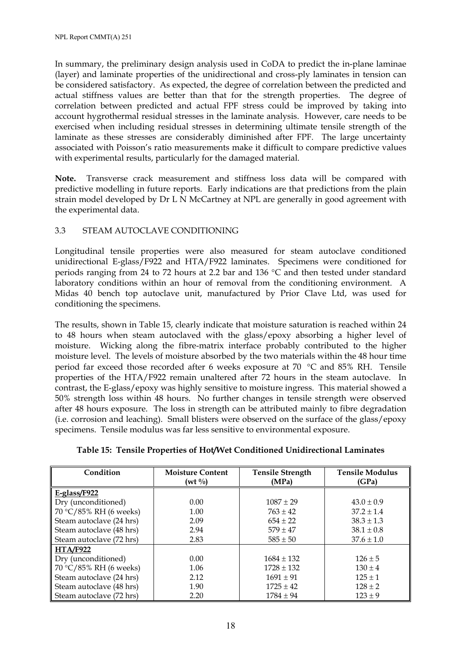In summary, the preliminary design analysis used in CoDA to predict the in-plane laminae (layer) and laminate properties of the unidirectional and cross-ply laminates in tension can be considered satisfactory. As expected, the degree of correlation between the predicted and actual stiffness values are better than that for the strength properties. The degree of correlation between predicted and actual FPF stress could be improved by taking into account hygrothermal residual stresses in the laminate analysis. However, care needs to be exercised when including residual stresses in determining ultimate tensile strength of the laminate as these stresses are considerably diminished after FPF. The large uncertainty associated with Poisson's ratio measurements make it difficult to compare predictive values with experimental results, particularly for the damaged material.

**Note.** Transverse crack measurement and stiffness loss data will be compared with predictive modelling in future reports. Early indications are that predictions from the plain strain model developed by Dr L N McCartney at NPL are generally in good agreement with the experimental data.

## 3.3 STEAM AUTOCLAVE CONDITIONING

Longitudinal tensile properties were also measured for steam autoclave conditioned unidirectional E-glass/F922 and HTA/F922 laminates. Specimens were conditioned for periods ranging from 24 to 72 hours at 2.2 bar and 136 °C and then tested under standard laboratory conditions within an hour of removal from the conditioning environment. A Midas 40 bench top autoclave unit, manufactured by Prior Clave Ltd, was used for conditioning the specimens.

The results, shown in Table 15, clearly indicate that moisture saturation is reached within 24 to 48 hours when steam autoclaved with the glass/epoxy absorbing a higher level of moisture. Wicking along the fibre-matrix interface probably contributed to the higher moisture level. The levels of moisture absorbed by the two materials within the 48 hour time period far exceed those recorded after 6 weeks exposure at 70 °C and 85% RH. Tensile properties of the HTA/F922 remain unaltered after 72 hours in the steam autoclave. In contrast, the E-glass/epoxy was highly sensitive to moisture ingress. This material showed a 50% strength loss within 48 hours. No further changes in tensile strength were observed after 48 hours exposure. The loss in strength can be attributed mainly to fibre degradation (i.e. corrosion and leaching). Small blisters were observed on the surface of the glass/epoxy specimens. Tensile modulus was far less sensitive to environmental exposure.

| Condition                | <b>Moisture Content</b><br>$(wt \frac{0}{0})$ | <b>Tensile Strength</b><br>(MPa) | <b>Tensile Modulus</b><br>(GPa) |
|--------------------------|-----------------------------------------------|----------------------------------|---------------------------------|
| $E-glass/F922$           |                                               |                                  |                                 |
| Dry (unconditioned)      | 0.00                                          | $1087 \pm 29$                    | $43.0 \pm 0.9$                  |
| 70 °C/85% RH (6 weeks)   | 1.00                                          | $763 \pm 42$                     | $37.2 \pm 1.4$                  |
| Steam autoclave (24 hrs) | 2.09                                          | $654 \pm 22$                     | $38.3 \pm 1.3$                  |
| Steam autoclave (48 hrs) | 2.94                                          | $579 \pm 47$                     | $38.1 \pm 0.8$                  |
| Steam autoclave (72 hrs) | 2.83                                          | $585 \pm 50$                     | $37.6 \pm 1.0$                  |
| <b>HTA/F922</b>          |                                               |                                  |                                 |
| Dry (unconditioned)      | 0.00                                          | $1684 \pm 132$                   | $126 \pm 5$                     |
| 70 °C/85% RH (6 weeks)   | 1.06                                          | $1728 \pm 132$                   | $130 \pm 4$                     |
| Steam autoclave (24 hrs) | 2.12                                          | $1691 \pm 91$                    | $125 \pm 1$                     |
| Steam autoclave (48 hrs) | 1.90                                          | $1725 \pm 42$                    | $128 \pm 2$                     |
| Steam autoclave (72 hrs) | 2.20                                          | $1784 \pm 94$                    | $123 \pm 9$                     |

**Table 15: Tensile Properties of Hot/Wet Conditioned Unidirectional Laminates**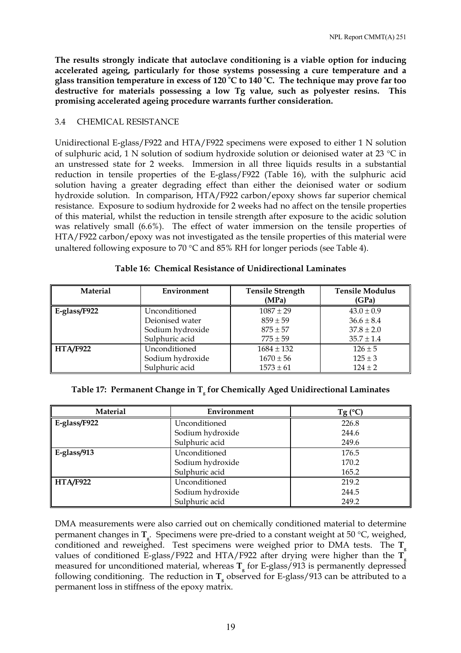**The results strongly indicate that autoclave conditioning is a viable option for inducing accelerated ageing, particularly for those systems possessing a cure temperature and a glass transition temperature in excess of 120 <sup>o</sup> C to 140 <sup>o</sup> C. The technique may prove far too destructive for materials possessing a low Tg value, such as polyester resins. This promising accelerated ageing procedure warrants further consideration.** 

## 3.4 CHEMICAL RESISTANCE

Unidirectional E-glass/F922 and HTA/F922 specimens were exposed to either 1 N solution of sulphuric acid, 1 N solution of sodium hydroxide solution or deionised water at 23 °C in an unstressed state for 2 weeks. Immersion in all three liquids results in a substantial reduction in tensile properties of the E-glass/F922 (Table 16), with the sulphuric acid solution having a greater degrading effect than either the deionised water or sodium hydroxide solution. In comparison, HTA/F922 carbon/epoxy shows far superior chemical resistance. Exposure to sodium hydroxide for 2 weeks had no affect on the tensile properties of this material, whilst the reduction in tensile strength after exposure to the acidic solution was relatively small (6.6%). The effect of water immersion on the tensile properties of HTA/F922 carbon/epoxy was not investigated as the tensile properties of this material were unaltered following exposure to 70 °C and 85% RH for longer periods (see Table 4).

| <b>Material</b> | Environment      | <b>Tensile Strength</b><br>(MPa) | <b>Tensile Modulus</b><br>(GPa) |
|-----------------|------------------|----------------------------------|---------------------------------|
| E-glass/F922    | Unconditioned    | $1087 \pm 29$                    | $43.0 \pm 0.9$                  |
|                 | Deionised water  | $859 \pm 59$                     | $36.6 \pm 8.4$                  |
|                 | Sodium hydroxide | $875 \pm 57$                     | $37.8 \pm 2.0$                  |
|                 | Sulphuric acid   | $775 \pm 59$                     | $35.7 \pm 1.4$                  |
| <b>HTA/F922</b> | Unconditioned    | $1684 \pm 132$                   | $126 \pm 5$                     |
|                 | Sodium hydroxide | $1670 \pm 56$                    | $125 \pm 3$                     |
|                 | Sulphuric acid   | $1573 \pm 61$                    | $124 \pm 2$                     |

#### **Table 16: Chemical Resistance of Unidirectional Laminates**

|  | Table 17: Permanent Change in T <sub>,</sub> for Chemically Aged Unidirectional Laminates |  |  |  |  |  |
|--|-------------------------------------------------------------------------------------------|--|--|--|--|--|
|--|-------------------------------------------------------------------------------------------|--|--|--|--|--|

| <b>Material</b> | Environment      | $Tg(^{\circ}C)$ |
|-----------------|------------------|-----------------|
| E-glass/F922    | Unconditioned    | 226.8           |
|                 | Sodium hydroxide | 244.6           |
|                 | Sulphuric acid   | 249.6           |
| $E-glass/913$   | Unconditioned    | 176.5           |
|                 | Sodium hydroxide | 170.2           |
|                 | Sulphuric acid   | 165.2           |
| <b>HTA/F922</b> | Unconditioned    | 219.2           |
|                 | Sodium hydroxide | 244.5           |
|                 | Sulphuric acid   | 249.2           |

DMA measurements were also carried out on chemically conditioned material to determine permanent changes in T<sub>g</sub>. Specimens were pre-dried to a constant weight at 50 °C, weighed, conditioned and reweighed. Test specimens were weighed prior to DMA tests. The **T**<sub>g</sub> values of conditioned E-glass/F922 and HTA/F922 after drying were higher than the  $\mathbf{T}_z$ measured for unconditioned material, whereas **T**<sub>e</sub> for E-glass/913 is permanently depressed following conditioning. The reduction in T<sub>p</sub> observed for E-glass/913 can be attributed to a permanent loss in stiffness of the epoxy matrix.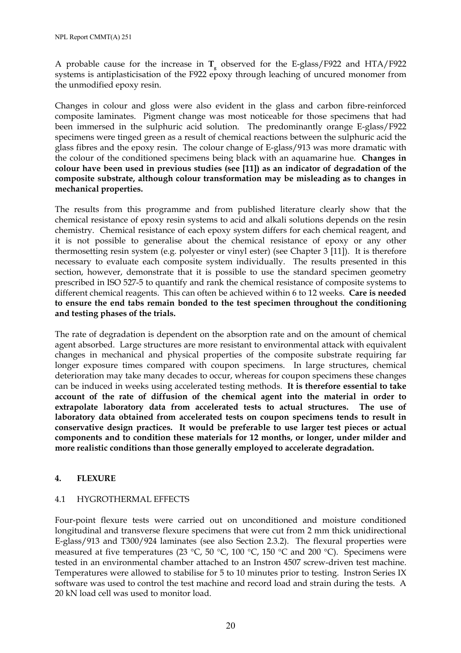A probable cause for the increase in  $T<sub>g</sub>$  observed for the E-glass/F922 and HTA/F922 systems is antiplasticisation of the F922 epoxy through leaching of uncured monomer from the unmodified epoxy resin.

Changes in colour and gloss were also evident in the glass and carbon fibre-reinforced composite laminates. Pigment change was most noticeable for those specimens that had been immersed in the sulphuric acid solution. The predominantly orange E-glass/F922 specimens were tinged green as a result of chemical reactions between the sulphuric acid the glass fibres and the epoxy resin. The colour change of E-glass/913 was more dramatic with the colour of the conditioned specimens being black with an aquamarine hue. **Changes in colour have been used in previous studies (see [11]) as an indicator of degradation of the composite substrate, although colour transformation may be misleading as to changes in mechanical properties.** 

The results from this programme and from published literature clearly show that the chemical resistance of epoxy resin systems to acid and alkali solutions depends on the resin chemistry. Chemical resistance of each epoxy system differs for each chemical reagent, and it is not possible to generalise about the chemical resistance of epoxy or any other thermosetting resin system (e.g. polyester or vinyl ester) (see Chapter 3 [11]). It is therefore necessary to evaluate each composite system individually. The results presented in this section, however, demonstrate that it is possible to use the standard specimen geometry prescribed in ISO 527-5 to quantify and rank the chemical resistance of composite systems to different chemical reagents. This can often be achieved within 6 to 12 weeks. **Care is needed to ensure the end tabs remain bonded to the test specimen throughout the conditioning and testing phases of the trials.** 

The rate of degradation is dependent on the absorption rate and on the amount of chemical agent absorbed. Large structures are more resistant to environmental attack with equivalent changes in mechanical and physical properties of the composite substrate requiring far longer exposure times compared with coupon specimens. In large structures, chemical deterioration may take many decades to occur, whereas for coupon specimens these changes can be induced in weeks using accelerated testing methods. **It is therefore essential to take account of the rate of diffusion of the chemical agent into the material in order to extrapolate laboratory data from accelerated tests to actual structures. The use of laboratory data obtained from accelerated tests on coupon specimens tends to result in conservative design practices. It would be preferable to use larger test pieces or actual components and to condition these materials for 12 months, or longer, under milder and more realistic conditions than those generally employed to accelerate degradation.**

## **4. FLEXURE**

## 4.1 HYGROTHERMAL EFFECTS

Four-point flexure tests were carried out on unconditioned and moisture conditioned longitudinal and transverse flexure specimens that were cut from 2 mm thick unidirectional E-glass/913 and T300/924 laminates (see also Section 2.3.2). The flexural properties were measured at five temperatures (23 °C, 50 °C, 100 °C, 150 °C and 200 °C). Specimens were tested in an environmental chamber attached to an Instron 4507 screw-driven test machine. Temperatures were allowed to stabilise for 5 to 10 minutes prior to testing. Instron Series IX software was used to control the test machine and record load and strain during the tests. A 20 kN load cell was used to monitor load.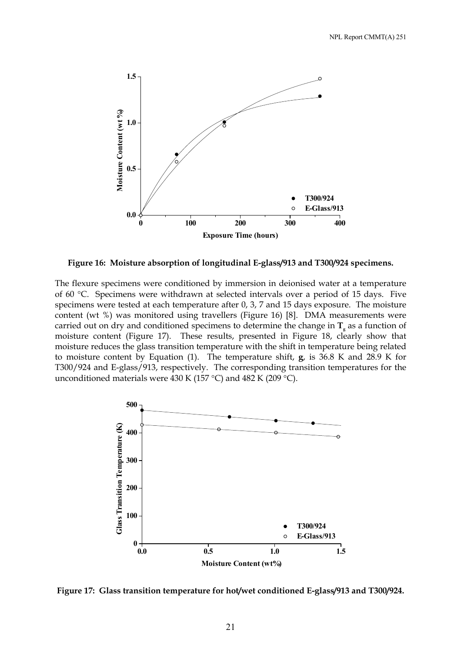

**Figure 16: Moisture absorption of longitudinal E-glass/913 and T300/924 specimens.** 

The flexure specimens were conditioned by immersion in deionised water at a temperature of 60 °C. Specimens were withdrawn at selected intervals over a period of 15 days. Five specimens were tested at each temperature after 0, 3, 7 and 15 days exposure. The moisture content (wt %) was monitored using travellers (Figure 16) [8]. DMA measurements were carried out on dry and conditioned specimens to determine the change in  $T<sub>g</sub>$  as a function of moisture content (Figure 17). These results, presented in Figure 18, clearly show that moisture reduces the glass transition temperature with the shift in temperature being related to moisture content by Equation (1). The temperature shift, **g**, is 36.8 K and 28.9 K for T300/924 and E-glass/913, respectively. The corresponding transition temperatures for the unconditioned materials were 430 K (157 °C) and 482 K (209 °C).



**Figure 17: Glass transition temperature for hot/wet conditioned E-glass/913 and T300/924.**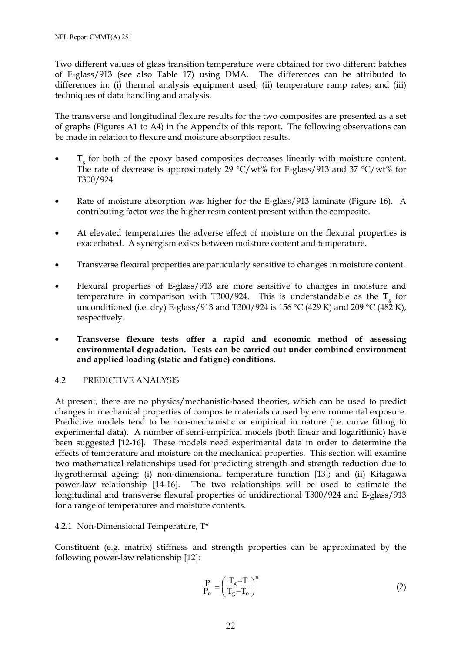Two different values of glass transition temperature were obtained for two different batches of E-glass/913 (see also Table 17) using DMA. The differences can be attributed to differences in: (i) thermal analysis equipment used; (ii) temperature ramp rates; and (iii) techniques of data handling and analysis.

The transverse and longitudinal flexure results for the two composites are presented as a set of graphs (Figures A1 to A4) in the Appendix of this report. The following observations can be made in relation to flexure and moisture absorption results.

- T<sub>g</sub> for both of the epoxy based composites decreases linearly with moisture content. The rate of decrease is approximately 29 °C/wt% for E-glass/913 and 37 °C/wt% for T300/924.
- Rate of moisture absorption was higher for the E-glass/913 laminate (Figure 16). A contributing factor was the higher resin content present within the composite.
- At elevated temperatures the adverse effect of moisture on the flexural properties is exacerbated. A synergism exists between moisture content and temperature.
- Transverse flexural properties are particularly sensitive to changes in moisture content.
- Flexural properties of E-glass/913 are more sensitive to changes in moisture and temperature in comparison with T300/924. This is understandable as the  $T<sub>g</sub>$  for unconditioned (i.e. dry) E-glass/913 and T300/924 is 156 °C (429 K) and 209 °C (482 K), respectively.
- **Transverse flexure tests offer a rapid and economic method of assessing environmental degradation. Tests can be carried out under combined environment and applied loading (static and fatigue) conditions.**

## 4.2 PREDICTIVE ANALYSIS

At present, there are no physics/mechanistic-based theories, which can be used to predict changes in mechanical properties of composite materials caused by environmental exposure. Predictive models tend to be non-mechanistic or empirical in nature (i.e. curve fitting to experimental data). A number of semi-empirical models (both linear and logarithmic) have been suggested [12-16]. These models need experimental data in order to determine the effects of temperature and moisture on the mechanical properties. This section will examine two mathematical relationships used for predicting strength and strength reduction due to hygrothermal ageing: (i) non-dimensional temperature function [13]; and (ii) Kitagawa power-law relationship [14-16]. The two relationships will be used to estimate the longitudinal and transverse flexural properties of unidirectional T300/924 and E-glass/913 for a range of temperatures and moisture contents.

## 4.2.1 Non-Dimensional Temperature, T\*

Constituent (e.g. matrix) stiffness and strength properties can be approximated by the following power-law relationship [12]:

$$
\frac{P}{P_o} = \left(\frac{T_g - T}{T_g - T_o}\right)^n\tag{2}
$$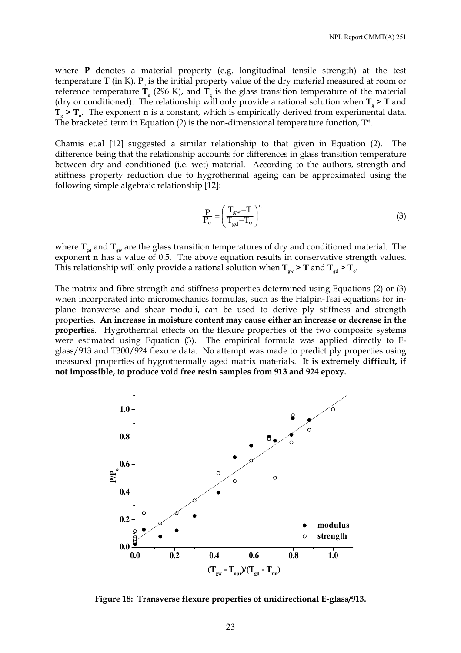where **P** denotes a material property (e.g. longitudinal tensile strength) at the test temperature  $T$  (in K),  $P_0$  is the initial property value of the dry material measured at room or reference temperature  $T_{o}$  (296 K), and  $T_{g}$  is the glass transition temperature of the material (dry or conditioned). The relationship will only provide a rational solution when  $T_s$  > T and  $T_s$  >  $T_o$ . The exponent **n** is a constant, which is empirically derived from experimental data. The bracketed term in Equation (2) is the non-dimensional temperature function, **T\***.

Chamis et.al [12] suggested a similar relationship to that given in Equation (2). The difference being that the relationship accounts for differences in glass transition temperature between dry and conditioned (i.e. wet) material. According to the authors, strength and stiffness property reduction due to hygrothermal ageing can be approximated using the following simple algebraic relationship [12]:

$$
\frac{P}{P_o} = \left(\frac{T_{gw} - T}{T_{gd} - T_o}\right)^n\tag{3}
$$

where  $T_{\text{gd}}$  and  $T_{\text{gw}}$  are the glass transition temperatures of dry and conditioned material. The exponent **n** has a value of 0.5. The above equation results in conservative strength values. This relationship will only provide a rational solution when  $T_{\text{av}}$  > T and  $T_{\text{ad}}$  >  $T_{\text{ad}}$ .

The matrix and fibre strength and stiffness properties determined using Equations (2) or (3) when incorporated into micromechanics formulas, such as the Halpin-Tsai equations for inplane transverse and shear moduli, can be used to derive ply stiffness and strength properties. **An increase in moisture content may cause either an increase or decrease in the properties**. Hygrothermal effects on the flexure properties of the two composite systems were estimated using Equation (3). The empirical formula was applied directly to Eglass/913 and T300/924 flexure data. No attempt was made to predict ply properties using measured properties of hygrothermally aged matrix materials. **It is extremely difficult, if not impossible, to produce void free resin samples from 913 and 924 epoxy.**



**Figure 18: Transverse flexure properties of unidirectional E-glass/913.**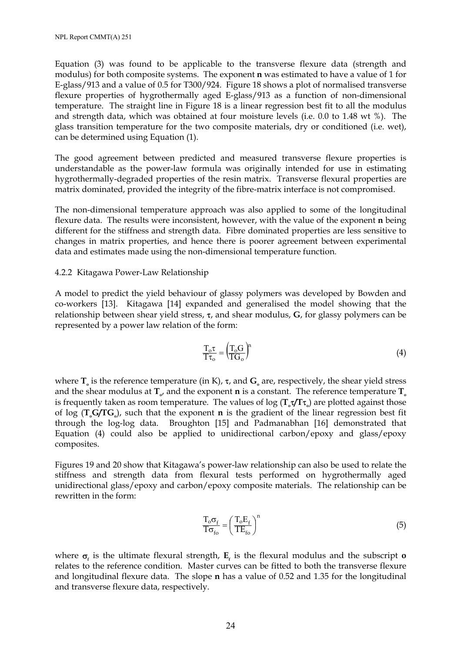Equation (3) was found to be applicable to the transverse flexure data (strength and modulus) for both composite systems. The exponent **n** was estimated to have a value of 1 for E-glass/913 and a value of 0.5 for T300/924. Figure 18 shows a plot of normalised transverse flexure properties of hygrothermally aged E-glass/913 as a function of non-dimensional temperature. The straight line in Figure 18 is a linear regression best fit to all the modulus and strength data, which was obtained at four moisture levels (i.e. 0.0 to 1.48 wt %). The glass transition temperature for the two composite materials, dry or conditioned (i.e. wet), can be determined using Equation (1).

The good agreement between predicted and measured transverse flexure properties is understandable as the power-law formula was originally intended for use in estimating hygrothermally-degraded properties of the resin matrix. Transverse flexural properties are matrix dominated, provided the integrity of the fibre-matrix interface is not compromised.

The non-dimensional temperature approach was also applied to some of the longitudinal flexure data. The results were inconsistent, however, with the value of the exponent **n** being different for the stiffness and strength data. Fibre dominated properties are less sensitive to changes in matrix properties, and hence there is poorer agreement between experimental data and estimates made using the non-dimensional temperature function.

#### 4.2.2 Kitagawa Power-Law Relationship

A model to predict the yield behaviour of glassy polymers was developed by Bowden and co-workers [13]. Kitagawa [14] expanded and generalised the model showing that the relationship between shear yield stress, τ, and shear modulus, **G**, for glassy polymers can be represented by a power law relation of the form:

$$
\frac{T_o \tau}{T \tau_o} = \left(\frac{T_o G}{T G_o}\right)^n\tag{4}
$$

where  $\mathbf{T}_s$  is the reference temperature (in K),  $\tau$ , and  $\mathbf{G}_s$  are, respectively, the shear yield stress and the shear modulus at  $\mathbf{T}_{o}$ , and the exponent **n** is a constant. The reference temperature  $\mathbf{T}_{o}$ is frequently taken as room temperature. The values of log (**T**<sub>*τ*</sub> $\gamma$ **T**τ<sub>*<sub>a</sub>*) are plotted against those</sub> of log  $(T\text{G}/T\text{G})$ , such that the exponent **n** is the gradient of the linear regression best fit through the log-log data. Broughton [15] and Padmanabhan [16] demonstrated that Equation (4) could also be applied to unidirectional carbon/epoxy and glass/epoxy composites.

Figures 19 and 20 show that Kitagawa's power-law relationship can also be used to relate the stiffness and strength data from flexural tests performed on hygrothermally aged unidirectional glass/epoxy and carbon/epoxy composite materials. The relationship can be rewritten in the form:

$$
\frac{T_o \sigma_f}{T \sigma_{fo}} = \left(\frac{T_o E_f}{TE_{fo}}\right)^n
$$
\n(5)

where  $\sigma$ <sub>*f*</sub> is the ultimate flexural strength,  $E$ <sub>*f*</sub> is the flexural modulus and the subscript **o** relates to the reference condition. Master curves can be fitted to both the transverse flexure and longitudinal flexure data. The slope **n** has a value of 0.52 and 1.35 for the longitudinal and transverse flexure data, respectively.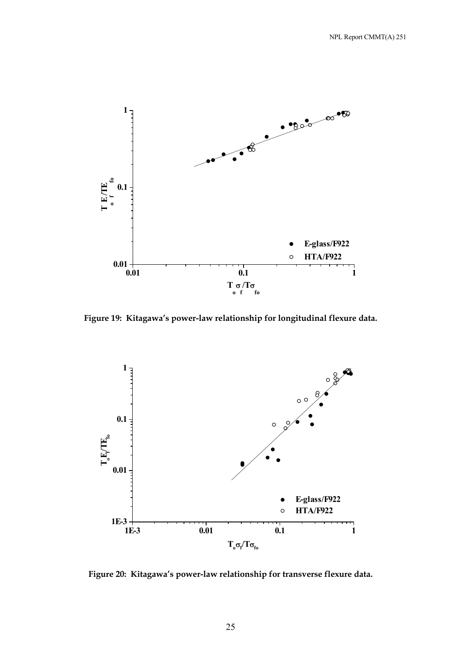

**Figure 19: Kitagawa's power-law relationship for longitudinal flexure data.** 



**Figure 20: Kitagawa's power-law relationship for transverse flexure data.**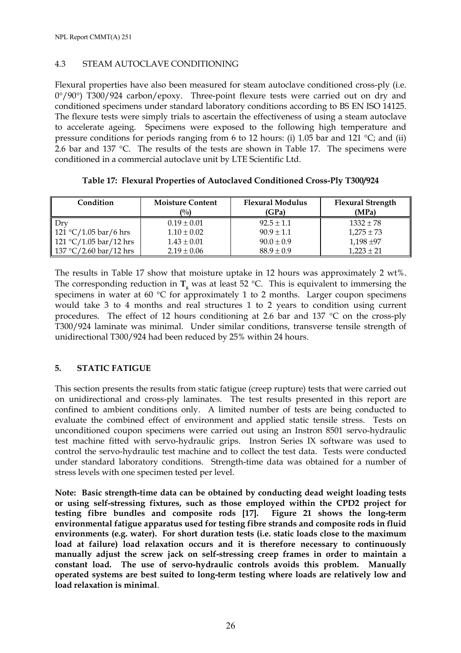## 4.3 STEAM AUTOCLAVE CONDITIONING

Flexural properties have also been measured for steam autoclave conditioned cross-ply (i.e. 0°/90°) T300/924 carbon/epoxy. Three-point flexure tests were carried out on dry and conditioned specimens under standard laboratory conditions according to BS EN ISO 14125. The flexure tests were simply trials to ascertain the effectiveness of using a steam autoclave to accelerate ageing. Specimens were exposed to the following high temperature and pressure conditions for periods ranging from 6 to 12 hours: (i) 1.05 bar and 121 °C; and (ii) 2.6 bar and 137 °C. The results of the tests are shown in Table 17. The specimens were conditioned in a commercial autoclave unit by LTE Scientific Ltd.

| Condition                                  | <b>Moisture Content</b><br>$($ %) | <b>Flexural Modulus</b><br>(GPa) | <b>Flexural Strength</b><br>(MPa) |
|--------------------------------------------|-----------------------------------|----------------------------------|-----------------------------------|
| - Drv                                      | $0.19 \pm 0.01$                   | $92.5 \pm 1.1$                   | $1332 \pm 78$                     |
| 121 °C/1.05 bar/6 hrs                      | $1.10 \pm 0.02$                   | $90.9 \pm 1.1$                   | $1,275 \pm 73$                    |
| $121 °C/1.05 \,\text{bar}/12 \,\text{hrs}$ | $1.43 \pm 0.01$                   | $90.0 \pm 0.9$                   | $1,198 + 97$                      |
| 137 °C/2.60 bar/12 hrs                     | $2.19 \pm 0.06$                   | $88.9 \pm 0.9$                   | $1,223 \pm 21$                    |

**Table 17: Flexural Properties of Autoclaved Conditioned Cross-Ply T300/924** 

The results in Table 17 show that moisture uptake in 12 hours was approximately 2 wt%. The corresponding reduction in  $T_g$  was at least 52 °C. This is equivalent to immersing the specimens in water at 60 °C for approximately 1 to 2 months. Larger coupon specimens would take 3 to 4 months and real structures 1 to 2 years to condition using current procedures. The effect of 12 hours conditioning at 2.6 bar and 137 °C on the cross-ply T300/924 laminate was minimal. Under similar conditions, transverse tensile strength of unidirectional T300/924 had been reduced by 25% within 24 hours.

## **5. STATIC FATIGUE**

This section presents the results from static fatigue (creep rupture) tests that were carried out on unidirectional and cross-ply laminates. The test results presented in this report are confined to ambient conditions only. A limited number of tests are being conducted to evaluate the combined effect of environment and applied static tensile stress. Tests on unconditioned coupon specimens were carried out using an Instron 8501 servo-hydraulic test machine fitted with servo-hydraulic grips. Instron Series IX software was used to control the servo-hydraulic test machine and to collect the test data. Tests were conducted under standard laboratory conditions. Strength-time data was obtained for a number of stress levels with one specimen tested per level.

**Note: Basic strength-time data can be obtained by conducting dead weight loading tests or using self-stressing fixtures, such as those employed within the CPD2 project for testing fibre bundles and composite rods [17]. Figure 21 shows the long-term environmental fatigue apparatus used for testing fibre strands and composite rods in fluid environments (e.g. water). For short duration tests (i.e. static loads close to the maximum load at failure) load relaxation occurs and it is therefore necessary to continuously manually adjust the screw jack on self-stressing creep frames in order to maintain a constant load. The use of servo-hydraulic controls avoids this problem. Manually operated systems are best suited to long-term testing where loads are relatively low and load relaxation is minimal**.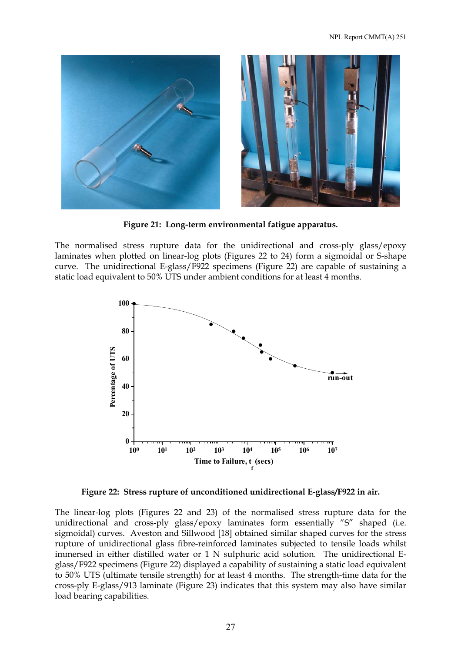

**Figure 21: Long-term environmental fatigue apparatus.** 

The normalised stress rupture data for the unidirectional and cross-ply glass/epoxy laminates when plotted on linear-log plots (Figures 22 to 24) form a sigmoidal or S-shape curve. The unidirectional E-glass/F922 specimens (Figure 22) are capable of sustaining a static load equivalent to 50% UTS under ambient conditions for at least 4 months.



**Figure 22: Stress rupture of unconditioned unidirectional E-glass/F922 in air.** 

The linear-log plots (Figures 22 and 23) of the normalised stress rupture data for the unidirectional and cross-ply glass/epoxy laminates form essentially "S" shaped (i.e. sigmoidal) curves. Aveston and Sillwood [18] obtained similar shaped curves for the stress rupture of unidirectional glass fibre-reinforced laminates subjected to tensile loads whilst immersed in either distilled water or 1 N sulphuric acid solution. The unidirectional Eglass/F922 specimens (Figure 22) displayed a capability of sustaining a static load equivalent to 50% UTS (ultimate tensile strength) for at least 4 months. The strength-time data for the cross-ply E-glass/913 laminate (Figure 23) indicates that this system may also have similar load bearing capabilities.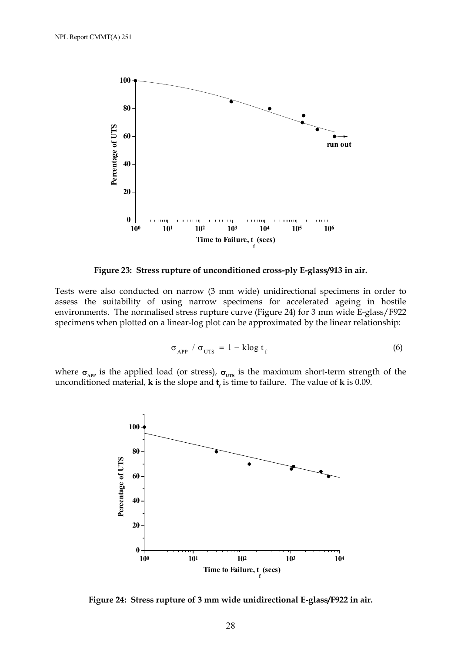

**Figure 23: Stress rupture of unconditioned cross-ply E-glass/913 in air.**

Tests were also conducted on narrow (3 mm wide) unidirectional specimens in order to assess the suitability of using narrow specimens for accelerated ageing in hostile environments. The normalised stress rupture curve (Figure 24) for 3 mm wide E-glass/F922 specimens when plotted on a linear-log plot can be approximated by the linear relationship:

$$
\sigma_{\text{APP}} / \sigma_{\text{UTS}} = 1 - \text{klog } t_{\text{f}}
$$
 (6)

where  $\sigma_{AP}$  is the applied load (or stress),  $\sigma_{UTS}$  is the maximum short-term strength of the unconditioned material, **k** is the slope and  $\mathbf{t}_f$  is time to failure. The value of **k** is 0.09.



**Figure 24: Stress rupture of 3 mm wide unidirectional E-glass/F922 in air.**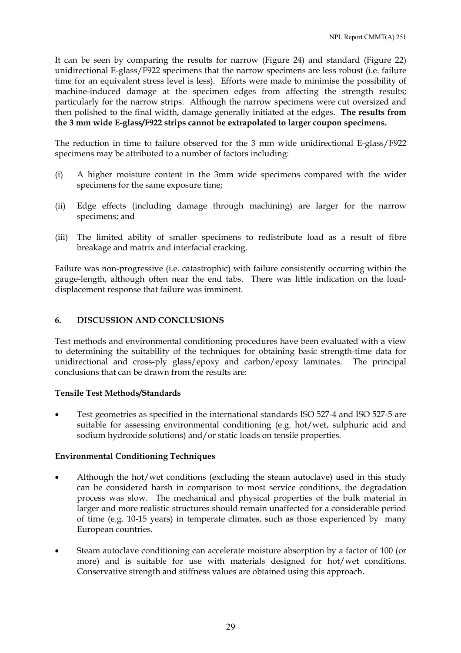It can be seen by comparing the results for narrow (Figure 24) and standard (Figure 22) unidirectional E-glass/F922 specimens that the narrow specimens are less robust (i.e. failure time for an equivalent stress level is less). Efforts were made to minimise the possibility of machine-induced damage at the specimen edges from affecting the strength results; particularly for the narrow strips. Although the narrow specimens were cut oversized and then polished to the final width, damage generally initiated at the edges. **The results from the 3 mm wide E-glass/F922 strips cannot be extrapolated to larger coupon specimens.**

The reduction in time to failure observed for the 3 mm wide unidirectional E-glass/F922 specimens may be attributed to a number of factors including:

- (i) A higher moisture content in the 3mm wide specimens compared with the wider specimens for the same exposure time;
- (ii) Edge effects (including damage through machining) are larger for the narrow specimens; and
- (iii) The limited ability of smaller specimens to redistribute load as a result of fibre breakage and matrix and interfacial cracking.

Failure was non-progressive (i.e. catastrophic) with failure consistently occurring within the gauge-length, although often near the end tabs. There was little indication on the loaddisplacement response that failure was imminent.

## **6. DISCUSSION AND CONCLUSIONS**

Test methods and environmental conditioning procedures have been evaluated with a view to determining the suitability of the techniques for obtaining basic strength-time data for unidirectional and cross-ply glass/epoxy and carbon/epoxy laminates. The principal conclusions that can be drawn from the results are:

## **Tensile Test Methods/Standards**

• Test geometries as specified in the international standards ISO 527-4 and ISO 527-5 are suitable for assessing environmental conditioning (e.g. hot/wet, sulphuric acid and sodium hydroxide solutions) and/or static loads on tensile properties.

## **Environmental Conditioning Techniques**

- Although the hot/wet conditions (excluding the steam autoclave) used in this study can be considered harsh in comparison to most service conditions, the degradation process was slow. The mechanical and physical properties of the bulk material in larger and more realistic structures should remain unaffected for a considerable period of time (e.g. 10-15 years) in temperate climates, such as those experienced by many European countries.
- Steam autoclave conditioning can accelerate moisture absorption by a factor of 100 (or more) and is suitable for use with materials designed for hot/wet conditions. Conservative strength and stiffness values are obtained using this approach.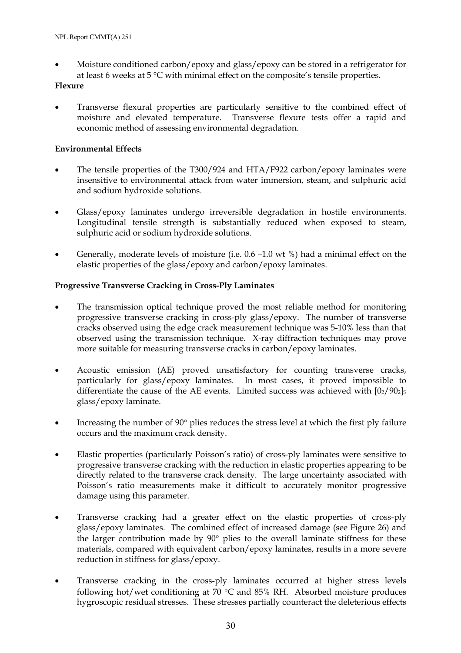• Moisture conditioned carbon/epoxy and glass/epoxy can be stored in a refrigerator for at least 6 weeks at 5 °C with minimal effect on the composite's tensile properties.

## **Flexure**

• Transverse flexural properties are particularly sensitive to the combined effect of moisture and elevated temperature. Transverse flexure tests offer a rapid and economic method of assessing environmental degradation.

## **Environmental Effects**

- The tensile properties of the T300/924 and HTA/F922 carbon/epoxy laminates were insensitive to environmental attack from water immersion, steam, and sulphuric acid and sodium hydroxide solutions.
- Glass/epoxy laminates undergo irreversible degradation in hostile environments. Longitudinal tensile strength is substantially reduced when exposed to steam, sulphuric acid or sodium hydroxide solutions.
- Generally, moderate levels of moisture (i.e. 0.6 –1.0 wt %) had a minimal effect on the elastic properties of the glass/epoxy and carbon/epoxy laminates.

## **Progressive Transverse Cracking in Cross-Ply Laminates**

- The transmission optical technique proved the most reliable method for monitoring progressive transverse cracking in cross-ply glass/epoxy. The number of transverse cracks observed using the edge crack measurement technique was 5-10% less than that observed using the transmission technique. X-ray diffraction techniques may prove more suitable for measuring transverse cracks in carbon/epoxy laminates.
- Acoustic emission (AE) proved unsatisfactory for counting transverse cracks, particularly for glass/epoxy laminates. In most cases, it proved impossible to differentiate the cause of the AE events. Limited success was achieved with  $[0<sub>2</sub>/90<sub>2</sub>]_{S}$ glass/epoxy laminate.
- Increasing the number of 90° plies reduces the stress level at which the first ply failure occurs and the maximum crack density.
- Elastic properties (particularly Poisson's ratio) of cross-ply laminates were sensitive to progressive transverse cracking with the reduction in elastic properties appearing to be directly related to the transverse crack density. The large uncertainty associated with Poisson's ratio measurements make it difficult to accurately monitor progressive damage using this parameter.
- Transverse cracking had a greater effect on the elastic properties of cross-ply glass/epoxy laminates. The combined effect of increased damage (see Figure 26) and the larger contribution made by 90° plies to the overall laminate stiffness for these materials, compared with equivalent carbon/epoxy laminates, results in a more severe reduction in stiffness for glass/epoxy.
- Transverse cracking in the cross-ply laminates occurred at higher stress levels following hot/wet conditioning at 70 °C and 85% RH. Absorbed moisture produces hygroscopic residual stresses. These stresses partially counteract the deleterious effects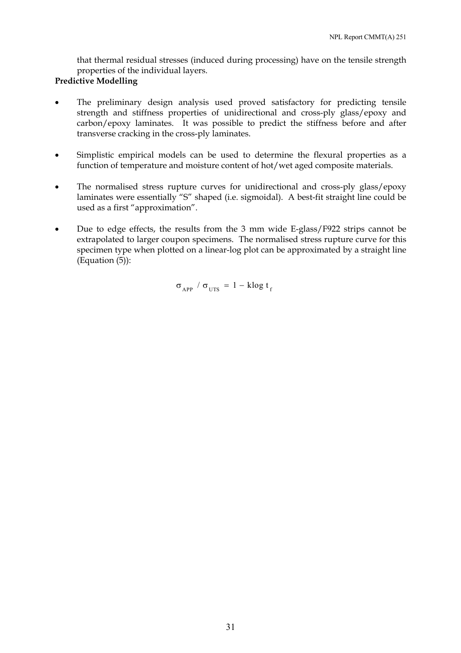that thermal residual stresses (induced during processing) have on the tensile strength properties of the individual layers.

## **Predictive Modelling**

- The preliminary design analysis used proved satisfactory for predicting tensile strength and stiffness properties of unidirectional and cross-ply glass/epoxy and carbon/epoxy laminates. It was possible to predict the stiffness before and after transverse cracking in the cross-ply laminates.
- Simplistic empirical models can be used to determine the flexural properties as a function of temperature and moisture content of hot/wet aged composite materials.
- The normalised stress rupture curves for unidirectional and cross-ply glass/epoxy laminates were essentially "S" shaped (i.e. sigmoidal). A best-fit straight line could be used as a first "approximation".
- Due to edge effects, the results from the 3 mm wide E-glass/F922 strips cannot be extrapolated to larger coupon specimens. The normalised stress rupture curve for this specimen type when plotted on a linear-log plot can be approximated by a straight line (Equation (5)):

$$
\sigma_{APP} / \sigma_{UTS} = 1 - k \log t_{f}
$$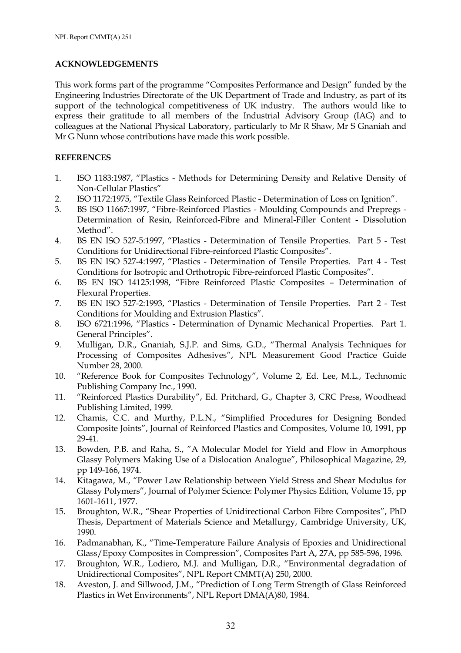#### **ACKNOWLEDGEMENTS**

This work forms part of the programme "Composites Performance and Design" funded by the Engineering Industries Directorate of the UK Department of Trade and Industry, as part of its support of the technological competitiveness of UK industry. The authors would like to express their gratitude to all members of the Industrial Advisory Group (IAG) and to colleagues at the National Physical Laboratory, particularly to Mr R Shaw, Mr S Gnaniah and Mr G Nunn whose contributions have made this work possible.

#### **REFERENCES**

- 1. ISO 1183:1987, "Plastics Methods for Determining Density and Relative Density of Non-Cellular Plastics"
- 2. ISO 1172:1975, "Textile Glass Reinforced Plastic Determination of Loss on Ignition".
- 3. BS ISO 11667:1997, "Fibre-Reinforced Plastics Moulding Compounds and Prepregs Determination of Resin, Reinforced-Fibre and Mineral-Filler Content - Dissolution Method".
- 4. BS EN ISO 527-5:1997, "Plastics Determination of Tensile Properties. Part 5 Test Conditions for Unidirectional Fibre-reinforced Plastic Composites".
- 5. BS EN ISO 527-4:1997, "Plastics Determination of Tensile Properties. Part 4 Test Conditions for Isotropic and Orthotropic Fibre-reinforced Plastic Composites".
- 6. BS EN ISO 14125:1998, "Fibre Reinforced Plastic Composites Determination of Flexural Properties.
- 7. BS EN ISO 527-2:1993, "Plastics Determination of Tensile Properties. Part 2 Test Conditions for Moulding and Extrusion Plastics".
- 8. ISO 6721:1996, "Plastics Determination of Dynamic Mechanical Properties. Part 1. General Principles".
- 9. Mulligan, D.R., Gnaniah, S.J.P. and Sims, G.D., "Thermal Analysis Techniques for Processing of Composites Adhesives", NPL Measurement Good Practice Guide Number 28, 2000.
- 10. "Reference Book for Composites Technology", Volume 2, Ed. Lee, M.L., Technomic Publishing Company Inc., 1990.
- 11. "Reinforced Plastics Durability", Ed. Pritchard, G., Chapter 3, CRC Press, Woodhead Publishing Limited, 1999.
- 12. Chamis, C.C. and Murthy, P.L.N., "Simplified Procedures for Designing Bonded Composite Joints", Journal of Reinforced Plastics and Composites, Volume 10, 1991, pp 29-41.
- 13. Bowden, P.B. and Raha, S., "A Molecular Model for Yield and Flow in Amorphous Glassy Polymers Making Use of a Dislocation Analogue", Philosophical Magazine, 29, pp 149-166, 1974.
- 14. Kitagawa, M., "Power Law Relationship between Yield Stress and Shear Modulus for Glassy Polymers", Journal of Polymer Science: Polymer Physics Edition, Volume 15, pp 1601-1611, 1977.
- 15. Broughton, W.R., "Shear Properties of Unidirectional Carbon Fibre Composites", PhD Thesis, Department of Materials Science and Metallurgy, Cambridge University, UK, 1990.
- 16. Padmanabhan, K., "Time-Temperature Failure Analysis of Epoxies and Unidirectional Glass/Epoxy Composites in Compression", Composites Part A, 27A, pp 585-596, 1996.
- 17. Broughton, W.R., Lodiero, M.J. and Mulligan, D.R., "Environmental degradation of Unidirectional Composites", NPL Report CMMT(A) 250, 2000.
- 18. Aveston, J. and Sillwood, J.M., "Prediction of Long Term Strength of Glass Reinforced Plastics in Wet Environments", NPL Report DMA(A)80, 1984.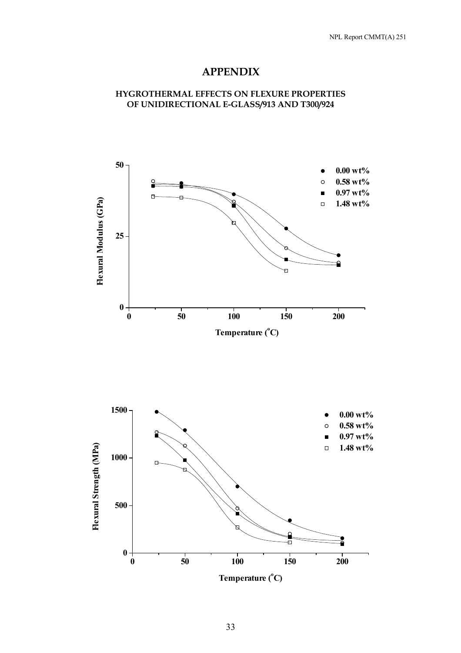# **APPENDIX**

## **HYGROTHERMAL EFFECTS ON FLEXURE PROPERTIES OF UNIDIRECTIONAL E-GLASS/913 AND T300/924**



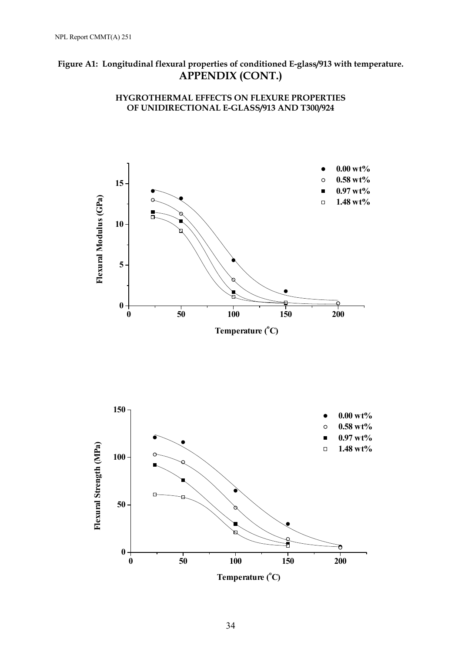# **Figure A1: Longitudinal flexural properties of conditioned E-glass/913 with temperature. APPENDIX (CONT.)**





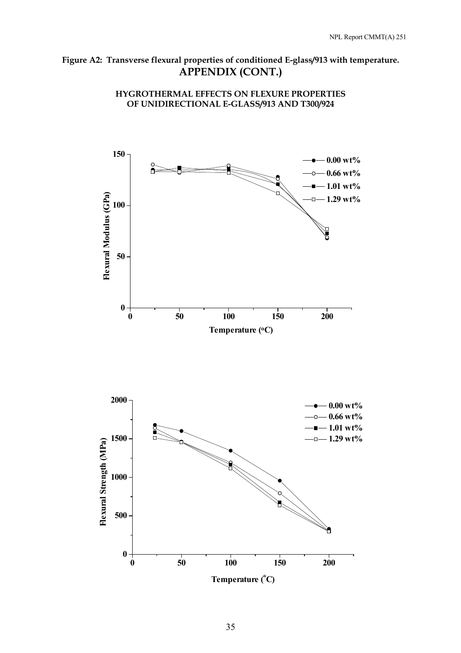# **Figure A2: Transverse flexural properties of conditioned E-glass/913 with temperature. APPENDIX (CONT.)**

**HYGROTHERMAL EFFECTS ON FLEXURE PROPERTIES OF UNIDIRECTIONAL E-GLASS/913 AND T300/924**